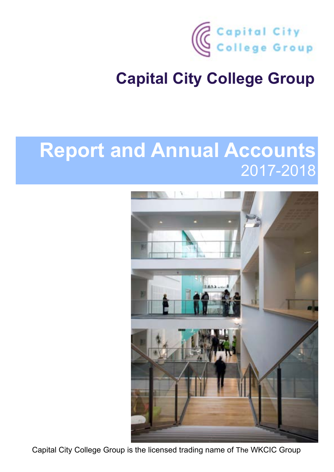

# **Report and Annual Accounts**  2017-2018



Capital City College Group is the licensed trading name of The WKCIC Group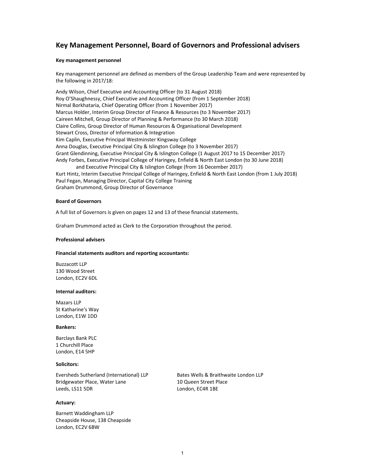# **Key Management Personnel, Board of Governors and Professional advisers**

#### **Key management personnel**

Key management personnel are defined as members of the Group Leadership Team and were represented by the following in 2017/18:

Andy Wilson, Chief Executive and Accounting Officer (to 31 August 2018) Roy O'Shaughnessy, Chief Executive and Accounting Officer (from 1 September 2018) Nirmal Borkhataria, Chief Operating Officer (from 1 November 2017) Marcus Holder, Interim Group Director of Finance & Resources (to 3 November 2017) Caireen Mitchell, Group Director of Planning & Performance (to 30 March 2018) Claire Collins, Group Director of Human Resources & Organisational Development Stewart Cross, Director of Information & Integration Kim Caplin, Executive Principal Westminster Kingsway College Anna Douglas, Executive Principal City & Islington College (to 3 November 2017) Grant Glendinning, Executive Principal City & Islington College (1 August 2017 to 15 December 2017) Andy Forbes, Executive Principal College of Haringey, Enfield & North East London (to 30 June 2018) and Executive Principal City & Islington College (from 16 December 2017) Kurt Hintz, Interim Executive Principal College of Haringey, Enfield & North East London (from 1 July 2018) Paul Fegan, Managing Director, Capital City College Training

Graham Drummond, Group Director of Governance

#### **Board of Governors**

A full list of Governors is given on pages 12 and 13 of these financial statements.

Graham Drummond acted as Clerk to the Corporation throughout the period.

#### **Professional advisers**

#### **Financial statements auditors and reporting accountants:**

Buzzacott LLP 130 Wood Street London, EC2V 6DL

#### **Internal auditors:**

Mazars LLP St Katharine's Way London, E1W 1DD

#### **Bankers:**

Barclays Bank PLC 1 Churchill Place London, E14 5HP

#### **Solicitors:**

Eversheds Sutherland (International) LLP Bates Wells & Braithwaite London LLP Bridgewater Place, Water Lane 10 Queen Street Place Leeds, LS11 5DR London, EC4R 1BE

#### **Actuary:**

Barnett Waddingham LLP Cheapside House, 138 Cheapside London, EC2V 6BW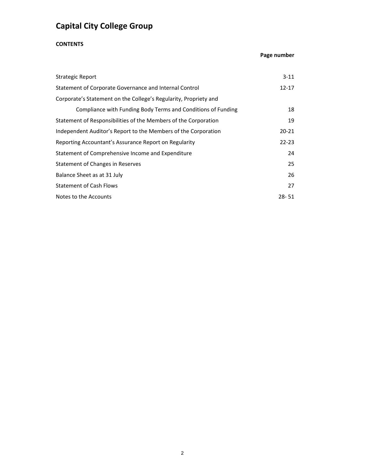# **CONTENTS**

# **Page number**

| <b>Strategic Report</b>                                          | $3 - 11$  |
|------------------------------------------------------------------|-----------|
| Statement of Corporate Governance and Internal Control           | $12 - 17$ |
| Corporate's Statement on the College's Regularity, Propriety and |           |
| Compliance with Funding Body Terms and Conditions of Funding     | 18        |
| Statement of Responsibilities of the Members of the Corporation  | 19        |
| Independent Auditor's Report to the Members of the Corporation   | $20 - 21$ |
| Reporting Accountant's Assurance Report on Regularity            | $22 - 23$ |
| Statement of Comprehensive Income and Expenditure                | 24        |
| Statement of Changes in Reserves                                 | 25        |
| Balance Sheet as at 31 July                                      | 26        |
| <b>Statement of Cash Flows</b>                                   | 27        |
| Notes to the Accounts                                            | $28 - 51$ |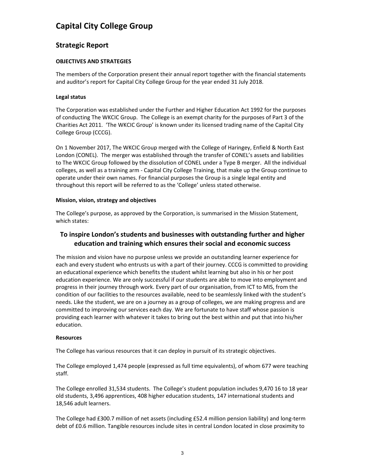# **Strategic Report**

# **OBJECTIVES AND STRATEGIES**

The members of the Corporation present their annual report together with the financial statements and auditor's report for Capital City College Group for the year ended 31 July 2018.

# **Legal status**

The Corporation was established under the Further and Higher Education Act 1992 for the purposes of conducting The WKCIC Group. The College is an exempt charity for the purposes of Part 3 of the Charities Act 2011. 'The WKCIC Group' is known under its licensed trading name of the Capital City College Group (CCCG).

On 1 November 2017, The WKCIC Group merged with the College of Haringey, Enfield & North East London (CONEL). The merger was established through the transfer of CONEL's assets and liabilities to The WKCIC Group followed by the dissolution of CONEL under a Type B merger. All the individual colleges, as well as a training arm ‐ Capital City College Training, that make up the Group continue to operate under their own names. For financial purposes the Group is a single legal entity and throughout this report will be referred to as the 'College' unless stated otherwise.

# **Mission, vision, strategy and objectives**

The College's purpose, as approved by the Corporation, is summarised in the Mission Statement, which states:

# **To inspire London's students and businesses with outstanding further and higher education and training which ensures their social and economic success**

The mission and vision have no purpose unless we provide an outstanding learner experience for each and every student who entrusts us with a part of their journey. CCCG is committed to providing an educational experience which benefits the student whilst learning but also in his or her post education experience. We are only successful if our students are able to move into employment and progress in their journey through work. Every part of our organisation, from ICT to MIS, from the condition of our facilities to the resources available, need to be seamlessly linked with the student's needs. Like the student, we are on a journey as a group of colleges, we are making progress and are committed to improving our services each day. We are fortunate to have staff whose passion is providing each learner with whatever it takes to bring out the best within and put that into his/her education.

# **Resources**

The College has various resources that it can deploy in pursuit of its strategic objectives.

The College employed 1,474 people (expressed as full time equivalents), of whom 677 were teaching staff.

The College enrolled 31,534 students. The College's student population includes 9,470 16 to 18 year old students, 3,496 apprentices, 408 higher education students, 147 international students and 18,546 adult learners.

The College had £300.7 million of net assets (including £52.4 million pension liability) and long‐term debt of £0.6 million. Tangible resources include sites in central London located in close proximity to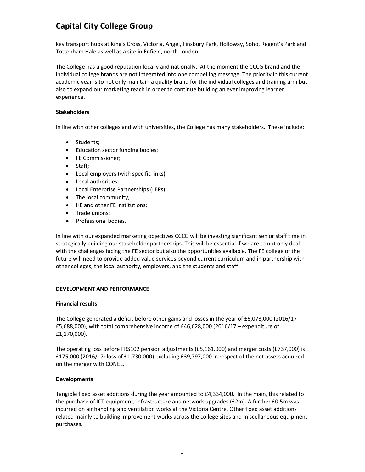key transport hubs at King's Cross, Victoria, Angel, Finsbury Park, Holloway, Soho, Regent's Park and Tottenham Hale as well as a site in Enfield, north London.

The College has a good reputation locally and nationally. At the moment the CCCG brand and the individual college brands are not integrated into one compelling message. The priority in this current academic year is to not only maintain a quality brand for the individual colleges and training arm but also to expand our marketing reach in order to continue building an ever improving learner experience.

### **Stakeholders**

In line with other colleges and with universities, the College has many stakeholders. These include:

- Students;
- Education sector funding bodies;
- FE Commissioner;
- Staff;
- Local employers (with specific links);
- Local authorities;
- Local Enterprise Partnerships (LEPs);
- The local community;
- HE and other FE institutions;
- Trade unions;
- Professional bodies.

In line with our expanded marketing objectives CCCG will be investing significant senior staff time in strategically building our stakeholder partnerships. This will be essential if we are to not only deal with the challenges facing the FE sector but also the opportunities available. The FE college of the future will need to provide added value services beyond current curriculum and in partnership with other colleges, the local authority, employers, and the students and staff.

### **DEVELOPMENT AND PERFORMANCE**

### **Financial results**

The College generated a deficit before other gains and losses in the year of £6,073,000 (2016/17 ‐ £5,688,000), with total comprehensive income of £46,628,000 (2016/17 – expenditure of £1,170,000).

The operating loss before FRS102 pension adjustments (£5,161,000) and merger costs (£737,000) is £175,000 (2016/17: loss of £1,730,000) excluding £39,797,000 in respect of the net assets acquired on the merger with CONEL.

### **Developments**

Tangible fixed asset additions during the year amounted to £4,334,000. In the main, this related to the purchase of ICT equipment, infrastructure and network upgrades (£2m). A further £0.5m was incurred on air handling and ventilation works at the Victoria Centre. Other fixed asset additions related mainly to building improvement works across the college sites and miscellaneous equipment purchases.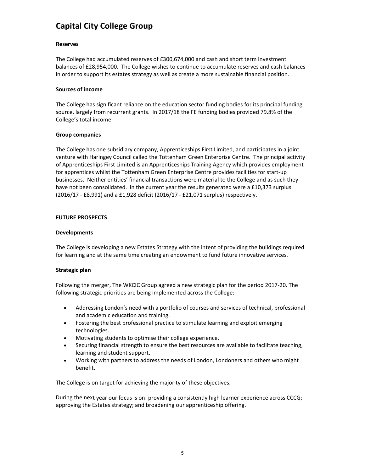# **Reserves**

The College had accumulated reserves of £300,674,000 and cash and short term investment balances of £28,954,000. The College wishes to continue to accumulate reserves and cash balances in order to support its estates strategy as well as create a more sustainable financial position.

# **Sources of income**

The College has significant reliance on the education sector funding bodies for its principal funding source, largely from recurrent grants. In 2017/18 the FE funding bodies provided 79.8% of the College's total income.

# **Group companies**

The College has one subsidiary company, Apprenticeships First Limited, and participates in a joint venture with Haringey Council called the Tottenham Green Enterprise Centre. The principal activity of Apprenticeships First Limited is an Apprenticeships Training Agency which provides employment for apprentices whilst the Tottenham Green Enterprise Centre provides facilities for start‐up businesses. Neither entities' financial transactions were material to the College and as such they have not been consolidated. In the current year the results generated were a £10,373 surplus (2016/17 ‐ £8,991) and a £1,928 deficit (2016/17 ‐ £21,071 surplus) respectively.

# **FUTURE PROSPECTS**

# **Developments**

The College is developing a new Estates Strategy with the intent of providing the buildings required for learning and at the same time creating an endowment to fund future innovative services.

# **Strategic plan**

Following the merger, The WKCIC Group agreed a new strategic plan for the period 2017‐20. The following strategic priorities are being implemented across the College:

- Addressing London's need with a portfolio of courses and services of technical, professional and academic education and training.
- Fostering the best professional practice to stimulate learning and exploit emerging technologies.
- Motivating students to optimise their college experience.
- Securing financial strength to ensure the best resources are available to facilitate teaching, learning and student support.
- Working with partners to address the needs of London, Londoners and others who might benefit.

The College is on target for achieving the majority of these objectives.

During the next year our focus is on: providing a consistently high learner experience across CCCG; approving the Estates strategy; and broadening our apprenticeship offering.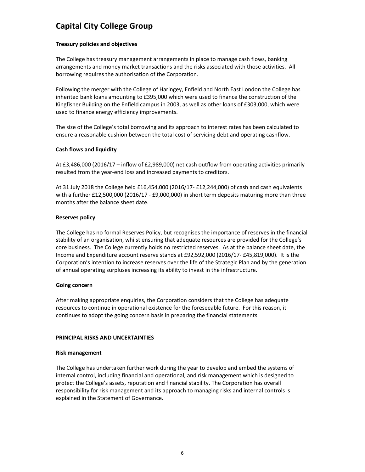# **Treasury policies and objectives**

The College has treasury management arrangements in place to manage cash flows, banking arrangements and money market transactions and the risks associated with those activities. All borrowing requires the authorisation of the Corporation.

Following the merger with the College of Haringey, Enfield and North East London the College has inherited bank loans amounting to £395,000 which were used to finance the construction of the Kingfisher Building on the Enfield campus in 2003, as well as other loans of £303,000, which were used to finance energy efficiency improvements.

The size of the College's total borrowing and its approach to interest rates has been calculated to ensure a reasonable cushion between the total cost of servicing debt and operating cashflow.

# **Cash flows and liquidity**

At £3,486,000 (2016/17 – inflow of £2,989,000) net cash outflow from operating activities primarily resulted from the year‐end loss and increased payments to creditors.

At 31 July 2018 the College held £16,454,000 (2016/17‐ £12,244,000) of cash and cash equivalents with a further £12,500,000 (2016/17 - £9,000,000) in short term deposits maturing more than three months after the balance sheet date.

# **Reserves policy**

The College has no formal Reserves Policy, but recognises the importance of reserves in the financial stability of an organisation, whilst ensuring that adequate resources are provided for the College's core business. The College currently holds no restricted reserves. As at the balance sheet date, the Income and Expenditure account reserve stands at £92,592,000 (2016/17‐ £45,819,000). It is the Corporation's intention to increase reserves over the life of the Strategic Plan and by the generation of annual operating surpluses increasing its ability to invest in the infrastructure.

### **Going concern**

After making appropriate enquiries, the Corporation considers that the College has adequate resources to continue in operational existence for the foreseeable future. For this reason, it continues to adopt the going concern basis in preparing the financial statements.

# **PRINCIPAL RISKS AND UNCERTAINTIES**

### **Risk management**

The College has undertaken further work during the year to develop and embed the systems of internal control, including financial and operational, and risk management which is designed to protect the College's assets, reputation and financial stability. The Corporation has overall responsibility for risk management and its approach to managing risks and internal controls is explained in the Statement of Governance.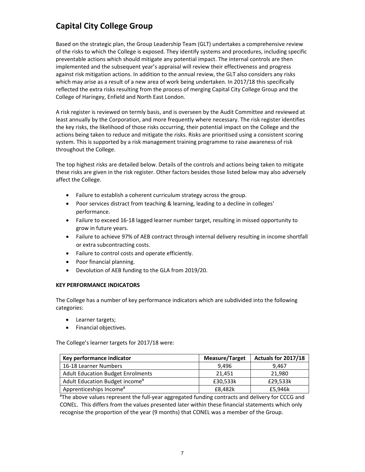Based on the strategic plan, the Group Leadership Team (GLT) undertakes a comprehensive review of the risks to which the College is exposed. They identify systems and procedures, including specific preventable actions which should mitigate any potential impact. The internal controls are then implemented and the subsequent year's appraisal will review their effectiveness and progress against risk mitigation actions. In addition to the annual review, the GLT also considers any risks which may arise as a result of a new area of work being undertaken. In 2017/18 this specifically reflected the extra risks resulting from the process of merging Capital City College Group and the College of Haringey, Enfield and North East London.

A risk register is reviewed on termly basis, and is overseen by the Audit Committee and reviewed at least annually by the Corporation, and more frequently where necessary. The risk register identifies the key risks, the likelihood of those risks occurring, their potential impact on the College and the actions being taken to reduce and mitigate the risks. Risks are prioritised using a consistent scoring system. This is supported by a risk management training programme to raise awareness of risk throughout the College.

The top highest risks are detailed below. Details of the controls and actions being taken to mitigate these risks are given in the risk register. Other factors besides those listed below may also adversely affect the College.

- Failure to establish a coherent curriculum strategy across the group.
- Poor services distract from teaching & learning, leading to a decline in colleges' performance.
- Failure to exceed 16‐18 lagged learner number target, resulting in missed opportunity to grow in future years.
- Failure to achieve 97% of AEB contract through internal delivery resulting in income shortfall or extra subcontracting costs.
- Failure to control costs and operate efficiently.
- Poor financial planning.
- Devolution of AEB funding to the GLA from 2019/20.

### **KEY PERFORMANCE INDICATORS**

The College has a number of key performance indicators which are subdivided into the following categories:

- Learner targets;
- **•** Financial objectives.

The College's learner targets for 2017/18 were:

| Key performance indicator                  | <b>Measure/Target</b> | Actuals for 2017/18 |
|--------------------------------------------|-----------------------|---------------------|
| 16-18 Learner Numbers                      | 9.496                 | 9.467               |
| <b>Adult Education Budget Enrolments</b>   | 21.451                | 21,980              |
| Adult Education Budget income <sup>#</sup> | £30,533k              | £29,533k            |
| Apprenticeships Income <sup>#</sup>        | £8,482k               | £5,946k             |

# The above values represent the full‐year aggregated funding contracts and delivery for CCCG and CONEL. This differs from the values presented later within these financial statements which only recognise the proportion of the year (9 months) that CONEL was a member of the Group.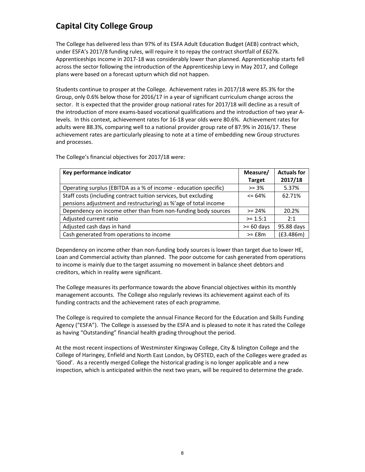The College has delivered less than 97% of its ESFA Adult Education Budget (AEB) contract which, under ESFA's 2017/8 funding rules, will require it to repay the contract shortfall of £627k. Apprenticeships income in 2017‐18 was considerably lower than planned. Apprenticeship starts fell across the sector following the introduction of the Apprenticeship Levy in May 2017, and College plans were based on a forecast upturn which did not happen.

Students continue to prosper at the College. Achievement rates in 2017/18 were 85.3% for the Group, only 0.6% below those for 2016/17 in a year of significant curriculum change across the sector. It is expected that the provider group national rates for 2017/18 will decline as a result of the introduction of more exams‐based vocational qualifications and the introduction of two year A‐ levels. In this context, achievement rates for 16‐18 year olds were 80.6%. Achievement rates for adults were 88.3%, comparing well to a national provider group rate of 87.9% in 2016/17. These achievement rates are particularly pleasing to note at a time of embedding new Group structures and processes.

The College's financial objectives for 2017/18 were:

| Key performance indicator                                        | Measure/      | <b>Actuals for</b> |
|------------------------------------------------------------------|---------------|--------------------|
|                                                                  | <b>Target</b> | 2017/18            |
| Operating surplus (EBITDA as a % of income - education specific) | $>= 3%$       | 5.37%              |
| Staff costs (including contract tuition services, but excluding  | $\leq$ 64%    | 62.71%             |
| pensions adjustment and restructuring) as %'age of total income  |               |                    |
| Dependency on income other than from non-funding body sources    | $>= 24%$      | 20.2%              |
| Adjusted current ratio                                           | $> = 1.5:1$   | 2:1                |
| Adjusted cash days in hand                                       | $>= 60$ days  | 95.88 days         |
| Cash generated from operations to income                         | $>=$ £8 $m$   | (E3.486m)          |

Dependency on income other than non-funding body sources is lower than target due to lower HE, Loan and Commercial activity than planned. The poor outcome for cash generated from operations to income is mainly due to the target assuming no movement in balance sheet debtors and creditors, which in reality were significant.

The College measures its performance towards the above financial objectives within its monthly management accounts. The College also regularly reviews its achievement against each of its funding contracts and the achievement rates of each programme.

The College is required to complete the annual Finance Record for the Education and Skills Funding Agency ("ESFA"). The College is assessed by the ESFA and is pleased to note it has rated the College as having "Outstanding" financial health grading throughout the period.

At the most recent inspections of Westminster Kingsway College, City & Islington College and the College of Haringey, Enfield and North East London, by OFSTED, each of the Colleges were graded as 'Good'. As a recently merged College the historical grading is no longer applicable and a new inspection, which is anticipated within the next two years, will be required to determine the grade.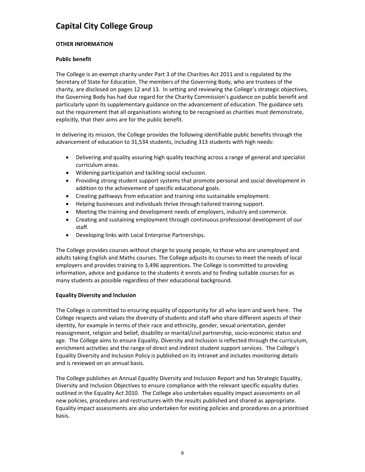# **OTHER INFORMATION**

# **Public benefit**

The College is an exempt charity under Part 3 of the Charities Act 2011 and is regulated by the Secretary of State for Education. The members of the Governing Body, who are trustees of the charity, are disclosed on pages 12 and 13. In setting and reviewing the College's strategic objectives, the Governing Body has had due regard for the Charity Commission's guidance on public benefit and particularly upon its supplementary guidance on the advancement of education. The guidance sets out the requirement that all organisations wishing to be recognised as charities must demonstrate, explicitly, that their aims are for the public benefit.

In delivering its mission, the College provides the following identifiable public benefits through the advancement of education to 31,534 students, including 313 students with high needs:

- Delivering and quality assuring high quality teaching across a range of general and specialist curriculum areas.
- Widening participation and tackling social exclusion.
- Providing strong student support systems that promote personal and social development in addition to the achievement of specific educational goals.
- Creating pathways from education and training into sustainable employment.
- Helping businesses and individuals thrive through tailored training support.
- Meeting the training and development needs of employers, industry and commerce.
- Creating and sustaining employment through continuous professional development of our staff.
- Developing links with Local Enterprise Partnerships.

The College provides courses without charge to young people, to those who are unemployed and adults taking English and Maths courses. The College adjusts its courses to meet the needs of local employers and provides training to 3,496 apprentices. The College is committed to providing information, advice and guidance to the students it enrols and to finding suitable courses for as many students as possible regardless of their educational background.

# **Equality Diversity and Inclusion**

The College is committed to ensuring equality of opportunity for all who learn and work here. The College respects and values the diversity of students and staff who share different aspects of their identity, for example in terms of their race and ethnicity, gender, sexual orientation, gender reassignment, religion and belief, disability or marital/civil partnership, socio‐economic status and age. The College aims to ensure Equality, Diversity and Inclusion is reflected through the curriculum, enrichment activities and the range of direct and indirect student support services. The College's Equality Diversity and Inclusion Policy is published on its Intranet and includes monitoring details and is reviewed on an annual basis.

The College publishes an Annual Equality Diversity and Inclusion Report and has Strategic Equality, Diversity and Inclusion Objectives to ensure compliance with the relevant specific equality duties outlined in the Equality Act 2010. The College also undertakes equality impact assessments on all new policies, procedures and restructures with the results published and shared as appropriate. Equality impact assessments are also undertaken for existing policies and procedures on a prioritised basis.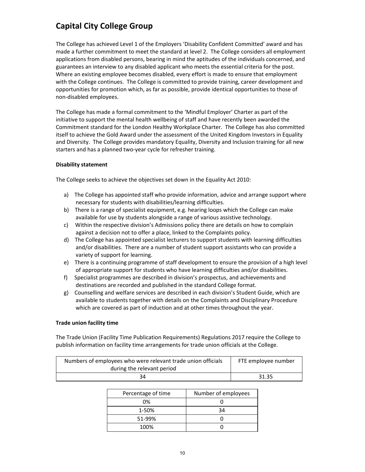The College has achieved Level 1 of the Employers 'Disability Confident Committed' award and has made a further commitment to meet the standard at level 2. The College considers all employment applications from disabled persons, bearing in mind the aptitudes of the individuals concerned, and guarantees an interview to any disabled applicant who meets the essential criteria for the post. Where an existing employee becomes disabled, every effort is made to ensure that employment with the College continues. The College is committed to provide training, career development and opportunities for promotion which, as far as possible, provide identical opportunities to those of non‐disabled employees.

The College has made a formal commitment to the 'Mindful Employer' Charter as part of the initiative to support the mental health wellbeing of staff and have recently been awarded the Commitment standard for the London Healthy Workplace Charter. The College has also committed itself to achieve the Gold Award under the assessment of the United Kingdom Investors in Equality and Diversity. The College provides mandatory Equality, Diversity and Inclusion training for all new starters and has a planned two‐year cycle for refresher training.

# **Disability statement**

The College seeks to achieve the objectives set down in the Equality Act 2010:

- a) The College has appointed staff who provide information, advice and arrange support where necessary for students with disabilities/learning difficulties.
- b) There is a range of specialist equipment, e.g. hearing loops which the College can make available for use by students alongside a range of various assistive technology.
- c) Within the respective division's Admissions policy there are details on how to complain against a decision not to offer a place, linked to the Complaints policy.
- d) The College has appointed specialist lecturers to support students with learning difficulties and/or disabilities. There are a number of student support assistants who can provide a variety of support for learning.
- e) There is a continuing programme of staff development to ensure the provision of a high level of appropriate support for students who have learning difficulties and/or disabilities.
- f) Specialist programmes are described in division's prospectus, and achievements and destinations are recorded and published in the standard College format.
- g) Counselling and welfare services are described in each division's Student Guide, which are available to students together with details on the Complaints and Disciplinary Procedure which are covered as part of induction and at other times throughout the year.

# **Trade union facility time**

The Trade Union (Facility Time Publication Requirements) Regulations 2017 require the College to publish information on facility time arrangements for trade union officials at the College.

| Numbers of employees who were relevant trade union officials | FTE employee number |
|--------------------------------------------------------------|---------------------|
| during the relevant period                                   |                     |
| 34                                                           | 31.35               |

| Percentage of time | Number of employees |
|--------------------|---------------------|
| 0%                 |                     |
| 1-50%              | 34                  |
| 51-99%             |                     |
| 100%               |                     |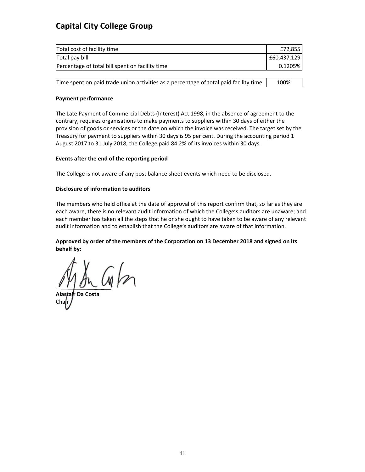| Total cost of facility time                     | £72,8551    |
|-------------------------------------------------|-------------|
| Total pay bill                                  | £60.437.129 |
| Percentage of total bill spent on facility time | $0.1205\%$  |

|  |  |  | Time spent on paid trade union activities as a percentage of total paid facility time ' | 100% |
|--|--|--|-----------------------------------------------------------------------------------------|------|
|--|--|--|-----------------------------------------------------------------------------------------|------|

# **Payment performance**

The Late Payment of Commercial Debts (Interest) Act 1998, in the absence of agreement to the contrary, requires organisations to make payments to suppliers within 30 days of either the provision of goods or services or the date on which the invoice was received. The target set by the Treasury for payment to suppliers within 30 days is 95 per cent. During the accounting period 1 August 2017 to 31 July 2018, the College paid 84.2% of its invoices within 30 days.

# **Events after the end of the reporting period**

The College is not aware of any post balance sheet events which need to be disclosed.

# **Disclosure of information to auditors**

The members who held office at the date of approval of this report confirm that, so far as they are each aware, there is no relevant audit information of which the College's auditors are unaware; and each member has taken all the steps that he or she ought to have taken to be aware of any relevant audit information and to establish that the College's auditors are aware of that information.

# **Approved by order of the members of the Corporation on 13 December 2018 and signed on its behalf by:**

**Alastair Da Costa** Chair J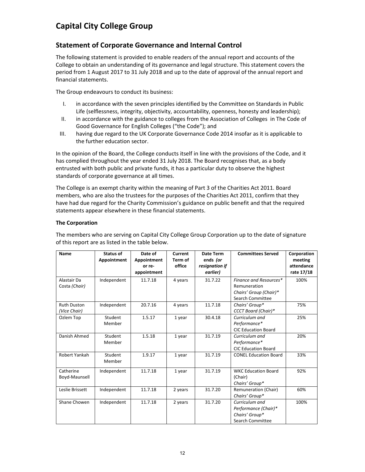# **Statement of Corporate Governance and Internal Control**

The following statement is provided to enable readers of the annual report and accounts of the College to obtain an understanding of its governance and legal structure. This statement covers the period from 1 August 2017 to 31 July 2018 and up to the date of approval of the annual report and financial statements.

The Group endeavours to conduct its business:

- I. in accordance with the seven principles identified by the Committee on Standards in Public Life (selflessness, integrity, objectivity, accountability, openness, honesty and leadership);
- II. in accordance with the guidance to colleges from the Association of Colleges in The Code of Good Governance for English Colleges ("the Code"); and
- III. having due regard to the UK Corporate Governance Code 2014 insofar as it is applicable to the further education sector.

In the opinion of the Board, the College conducts itself in line with the provisions of the Code, and it has complied throughout the year ended 31 July 2018. The Board recognises that, as a body entrusted with both public and private funds, it has a particular duty to observe the highest standards of corporate governance at all times.

The College is an exempt charity within the meaning of Part 3 of the Charities Act 2011. Board members, who are also the trustees for the purposes of the Charities Act 2011, confirm that they have had due regard for the Charity Commission's guidance on public benefit and that the required statements appear elsewhere in these financial statements.

# **The Corporation**

| <b>Name</b>                        | Status of<br>Appointment | Date of<br>Appointment<br>or re- | Current<br>Term of<br>office | Date Term<br>ends (or<br>resignation if | <b>Committees Served</b>                                                     | Corporation<br>meeting<br>attendance |
|------------------------------------|--------------------------|----------------------------------|------------------------------|-----------------------------------------|------------------------------------------------------------------------------|--------------------------------------|
|                                    |                          | appointment                      |                              | earlier)                                |                                                                              | rate 17/18                           |
| Alastair Da<br>Costa (Chair)       | Independent              | 11.7.18                          | 4 years                      | 31.7.22                                 | Finance and Resources*<br>Remuneration<br>Chairs' Group (Chair)*             | 100%                                 |
|                                    |                          |                                  |                              |                                         | Search Committee                                                             |                                      |
| <b>Ruth Duston</b><br>(Vice Chair) | Independent              | 20.7.16                          | 4 years                      | 11.7.18                                 | Chairs' Group*<br>CCCT Board (Chair)*                                        | 75%                                  |
| Ozlem Top                          | Student<br>Member        | 1.5.17                           | 1 year                       | 30.4.18                                 | Curriculum and<br>Performance*<br><b>CIC Education Board</b>                 | 25%                                  |
| Danish Ahmed                       | Student<br>Member        | 1.5.18                           | 1 year                       | 31.7.19                                 | Curriculum and<br>Performance*<br><b>CIC Education Board</b>                 | 20%                                  |
| Robert Yankah                      | Student<br>Member        | 1.9.17                           | 1 year                       | 31.7.19                                 | <b>CONEL Education Board</b>                                                 | 33%                                  |
| Catherine<br>Boyd-Maunsell         | Independent              | 11.7.18                          | 1 year                       | 31.7.19                                 | <b>WKC Education Board</b><br>(Chair)<br>Chairs' Group*                      | 92%                                  |
| Leslie Brissett                    | Independent              | 11.7.18                          | 2 years                      | 31.7.20                                 | Remuneration (Chair)<br>Chairs' Group*                                       | 60%                                  |
| Shane Chowen                       | Independent              | 11.7.18                          | 2 years                      | 31.7.20                                 | Curriculum and<br>Performance (Chair)*<br>Chairs' Group*<br>Search Committee | 100%                                 |

The members who are serving on Capital City College Group Corporation up to the date of signature of this report are as listed in the table below.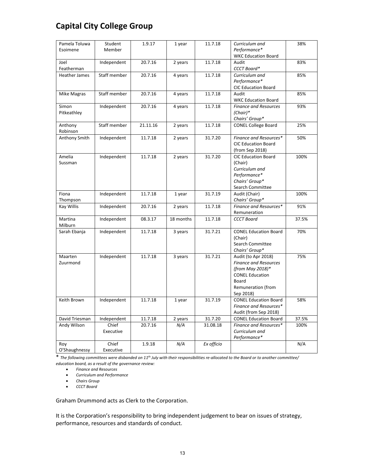| Pamela Toluwa<br>Student             | 1.9.17   | 1 year    | 11.7.18    | Curriculum and                             | 38%   |
|--------------------------------------|----------|-----------|------------|--------------------------------------------|-------|
| Member<br>Esoimene                   |          |           |            | Performance*                               |       |
|                                      |          |           |            | <b>WKC Education Board</b>                 |       |
| Independent<br>Joel                  | 20.7.16  | 2 years   | 11.7.18    | Audit                                      | 83%   |
| Featherman                           |          |           |            | CCCT Board*                                |       |
| Staff member<br><b>Heather James</b> | 20.7.16  | 4 years   | 11.7.18    | Curriculum and                             | 85%   |
|                                      |          |           |            | Performance*                               |       |
|                                      |          |           |            | <b>CIC Education Board</b>                 |       |
| Staff member<br>Mike Magras          | 20.7.16  | 4 years   | 11.7.18    | Audit                                      | 85%   |
|                                      |          |           |            | <b>WKC Education Board</b>                 |       |
| Simon<br>Independent                 | 20.7.16  | 4 years   | 11.7.18    | <b>Finance and Resources</b>               | 93%   |
| Pitkeathley                          |          |           |            | $(Chair)*$                                 |       |
|                                      |          |           |            | Chairs' Group*                             |       |
| Staff member<br>Anthony              | 21.11.16 | 2 years   | 11.7.18    | <b>CONEL College Board</b>                 | 25%   |
| Robinson                             |          |           |            |                                            |       |
| Anthony Smith<br>Independent         | 11.7.18  | 2 years   | 31.7.20    | Finance and Resources*                     | 50%   |
|                                      |          |           |            | <b>CIC Education Board</b>                 |       |
|                                      |          |           |            | (from Sep 2018)                            |       |
| Amelia<br>Independent                | 11.7.18  | 2 years   | 31.7.20    | <b>CIC Education Board</b>                 | 100%  |
| Sussman                              |          |           |            | (Chair)                                    |       |
|                                      |          |           |            | Curriculum and                             |       |
|                                      |          |           |            | Performance*                               |       |
|                                      |          |           |            | Chairs' Group*                             |       |
|                                      |          |           |            | Search Committee                           |       |
| Fiona<br>Independent                 | 11.7.18  | 1 year    | 31.7.19    | Audit (Chair)                              | 100%  |
| Thompson                             |          |           |            | Chairs' Group*                             |       |
| Independent<br>Kay Willis            | 20.7.16  | 2 years   | 11.7.18    | Finance and Resources*                     | 91%   |
|                                      |          |           |            | Remuneration                               |       |
| Martina<br>Independent               | 08.3.17  | 18 months | 11.7.18    | <b>CCCT Board</b>                          | 37.5% |
| Milburn                              |          |           |            |                                            |       |
| Sarah Ebanja<br>Independent          | 11.7.18  | 3 years   | 31.7.21    | <b>CONEL Education Board</b>               | 70%   |
|                                      |          |           |            | (Chair)                                    |       |
|                                      |          |           |            | Search Committee                           |       |
|                                      |          |           |            | Chairs' Group*                             |       |
| Maarten<br>Independent               | 11.7.18  | 3 years   | 31.7.21    | Audit (to Apr 2018)                        | 75%   |
| Zuurmond                             |          |           |            | <b>Finance and Resources</b>               |       |
|                                      |          |           |            | (from May 2018)*<br><b>CONEL Education</b> |       |
|                                      |          |           |            | Board                                      |       |
|                                      |          |           |            | Remuneration (from                         |       |
|                                      |          |           |            | Sep 2018)                                  |       |
| Keith Brown<br>Independent           | 11.7.18  | 1 year    | 31.7.19    | <b>CONEL Education Board</b>               | 58%   |
|                                      |          |           |            | Finance and Resources*                     |       |
|                                      |          |           |            | Audit (from Sep 2018)                      |       |
| David Triesman<br>Independent        | 11.7.18  | 2 years   | 31.7.20    | <b>CONEL Education Board</b>               | 37.5% |
| Andy Wilson<br>Chief                 | 20.7.16  | N/A       | 31.08.18   | Finance and Resources*                     | 100%  |
| Executive                            |          |           |            | Curriculum and                             |       |
|                                      |          |           |            | Performance*                               |       |
| Chief<br>Roy                         |          |           |            |                                            |       |
|                                      | 1.9.18   | N/A       | Ex officio |                                            | N/A   |

 $*$  The following committees were disbanded on 11<sup>th</sup> July with their responsibilities re-allocated to the Board or to another committee/ *education board, as a result of the governance review:*

*Finance and Resources*

*Curriculum and Performance*

*Chairs Group*

*CCCT Board*

Graham Drummond acts as Clerk to the Corporation.

It is the Corporation's responsibility to bring independent judgement to bear on issues of strategy, performance, resources and standards of conduct.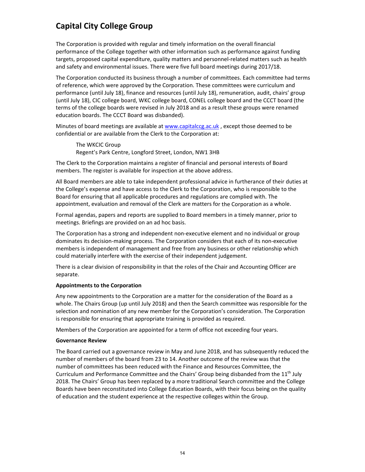The Corporation is provided with regular and timely information on the overall financial performance of the College together with other information such as performance against funding targets, proposed capital expenditure, quality matters and personnel‐related matters such as health and safety and environmental issues. There were five full board meetings during 2017/18.

The Corporation conducted its business through a number of committees. Each committee had terms of reference, which were approved by the Corporation. These committees were curriculum and performance (until July 18), finance and resources (until July 18), remuneration, audit, chairs' group (until July 18), CIC college board, WKC college board, CONEL college board and the CCCT board (the terms of the college boards were revised in July 2018 and as a result these groups were renamed education boards. The CCCT Board was disbanded).

Minutes of board meetings are available at www.capitalccg.ac.uk, except those deemed to be confidential or are available from the Clerk to the Corporation at:

The WKCIC Group Regent's Park Centre, Longford Street, London, NW1 3HB

The Clerk to the Corporation maintains a register of financial and personal interests of Board members. The register is available for inspection at the above address.

All Board members are able to take independent professional advice in furtherance of their duties at the College's expense and have access to the Clerk to the Corporation, who is responsible to the Board for ensuring that all applicable procedures and regulations are complied with. The appointment, evaluation and removal of the Clerk are matters for the Corporation as a whole.

Formal agendas, papers and reports are supplied to Board members in a timely manner, prior to meetings. Briefings are provided on an ad hoc basis.

The Corporation has a strong and independent non‐executive element and no individual or group dominates its decision‐making process. The Corporation considers that each of its non‐executive members is independent of management and free from any business or other relationship which could materially interfere with the exercise of their independent judgement.

There is a clear division of responsibility in that the roles of the Chair and Accounting Officer are separate.

### **Appointments to the Corporation**

Any new appointments to the Corporation are a matter for the consideration of the Board as a whole. The Chairs Group (up until July 2018) and then the Search committee was responsible for the selection and nomination of any new member for the Corporation's consideration. The Corporation is responsible for ensuring that appropriate training is provided as required.

Members of the Corporation are appointed for a term of office not exceeding four years.

### **Governance Review**

The Board carried out a governance review in May and June 2018, and has subsequently reduced the number of members of the board from 23 to 14. Another outcome of the review was that the number of committees has been reduced with the Finance and Resources Committee, the Curriculum and Performance Committee and the Chairs' Group being disbanded from the  $11<sup>th</sup>$  July 2018. The Chairs' Group has been replaced by a more traditional Search committee and the College Boards have been reconstituted into College Education Boards, with their focus being on the quality of education and the student experience at the respective colleges within the Group.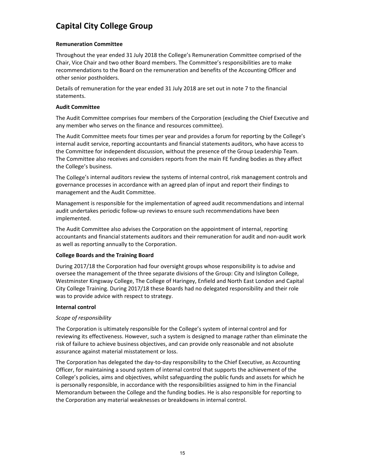# **Remuneration Committee**

Throughout the year ended 31 July 2018 the College's Remuneration Committee comprised of the Chair, Vice Chair and two other Board members. The Committee's responsibilities are to make recommendations to the Board on the remuneration and benefits of the Accounting Officer and other senior postholders.

Details of remuneration for the year ended 31 July 2018 are set out in note 7 to the financial statements.

# **Audit Committee**

The Audit Committee comprises four members of the Corporation (excluding the Chief Executive and any member who serves on the finance and resources committee).

The Audit Committee meets four times per year and provides a forum for reporting by the College's internal audit service, reporting accountants and financial statements auditors, who have access to the Committee for independent discussion, without the presence of the Group Leadership Team. The Committee also receives and considers reports from the main FE funding bodies as they affect the College's business.

The College's internal auditors review the systems of internal control, risk management controls and governance processes in accordance with an agreed plan of input and report their findings to management and the Audit Committee.

Management is responsible for the implementation of agreed audit recommendations and internal audit undertakes periodic follow‐up reviews to ensure such recommendations have been implemented.

The Audit Committee also advises the Corporation on the appointment of internal, reporting accountants and financial statements auditors and their remuneration for audit and non‐audit work as well as reporting annually to the Corporation.

### **College Boards and the Training Board**

During 2017/18 the Corporation had four oversight groups whose responsibility is to advise and oversee the management of the three separate divisions of the Group: City and Islington College, Westminster Kingsway College, The College of Haringey, Enfield and North East London and Capital City College Training. During 2017/18 these Boards had no delegated responsibility and their role was to provide advice with respect to strategy.

### **Internal control**

# *Scope of responsibility*

The Corporation is ultimately responsible for the College's system of internal control and for reviewing its effectiveness. However, such a system is designed to manage rather than eliminate the risk of failure to achieve business objectives, and can provide only reasonable and not absolute assurance against material misstatement or loss.

The Corporation has delegated the day-to-day responsibility to the Chief Executive, as Accounting Officer, for maintaining a sound system of internal control that supports the achievement of the College's policies, aims and objectives, whilst safeguarding the public funds and assets for which he is personally responsible, in accordance with the responsibilities assigned to him in the Financial Memorandum between the College and the funding bodies. He is also responsible for reporting to the Corporation any material weaknesses or breakdowns in internal control.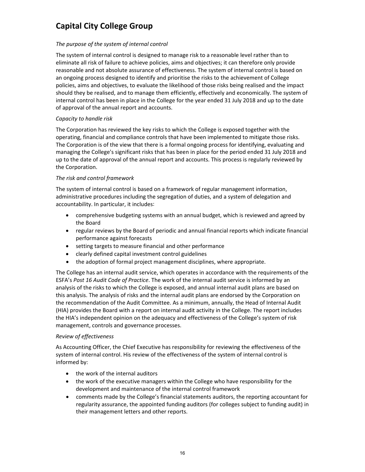# *The purpose of the system of internal control*

The system of internal control is designed to manage risk to a reasonable level rather than to eliminate all risk of failure to achieve policies, aims and objectives; it can therefore only provide reasonable and not absolute assurance of effectiveness. The system of internal control is based on an ongoing process designed to identify and prioritise the risks to the achievement of College policies, aims and objectives, to evaluate the likelihood of those risks being realised and the impact should they be realised, and to manage them efficiently, effectively and economically. The system of internal control has been in place in the College for the year ended 31 July 2018 and up to the date of approval of the annual report and accounts.

# *Capacity to handle risk*

The Corporation has reviewed the key risks to which the College is exposed together with the operating, financial and compliance controls that have been implemented to mitigate those risks. The Corporation is of the view that there is a formal ongoing process for identifying, evaluating and managing the College's significant risks that has been in place for the period ended 31 July 2018 and up to the date of approval of the annual report and accounts. This process is regularly reviewed by the Corporation.

# *The risk and control framework*

The system of internal control is based on a framework of regular management information, administrative procedures including the segregation of duties, and a system of delegation and accountability. In particular, it includes:

- comprehensive budgeting systems with an annual budget, which is reviewed and agreed by the Board
- regular reviews by the Board of periodic and annual financial reports which indicate financial performance against forecasts
- setting targets to measure financial and other performance
- clearly defined capital investment control guidelines
- the adoption of formal project management disciplines, where appropriate.

The College has an internal audit service, which operates in accordance with the requirements of the ESFA's *Post 16 Audit Code of Practice*. The work of the internal audit service is informed by an analysis of the risks to which the College is exposed, and annual internal audit plans are based on this analysis. The analysis of risks and the internal audit plans are endorsed by the Corporation on the recommendation of the Audit Committee. As a minimum, annually, the Head of Internal Audit (HIA) provides the Board with a report on internal audit activity in the College. The report includes the HIA's independent opinion on the adequacy and effectiveness of the College's system of risk management, controls and governance processes.

# *Review of effectiveness*

As Accounting Officer, the Chief Executive has responsibility for reviewing the effectiveness of the system of internal control. His review of the effectiveness of the system of internal control is informed by:

- the work of the internal auditors
- the work of the executive managers within the College who have responsibility for the development and maintenance of the internal control framework
- comments made by the College's financial statements auditors, the reporting accountant for regularity assurance, the appointed funding auditors (for colleges subject to funding audit) in their management letters and other reports.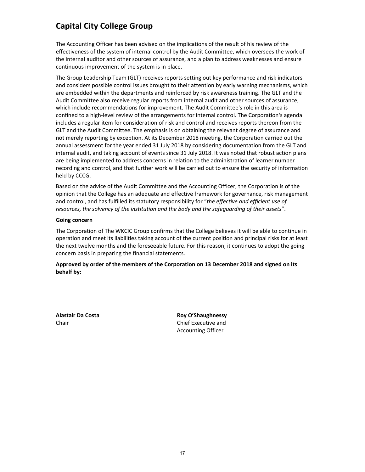The Accounting Officer has been advised on the implications of the result of his review of the effectiveness of the system of internal control by the Audit Committee, which oversees the work of the internal auditor and other sources of assurance, and a plan to address weaknesses and ensure continuous improvement of the system is in place.

The Group Leadership Team (GLT) receives reports setting out key performance and risk indicators and considers possible control issues brought to their attention by early warning mechanisms, which are embedded within the departments and reinforced by risk awareness training. The GLT and the Audit Committee also receive regular reports from internal audit and other sources of assurance, which include recommendations for improvement. The Audit Committee's role in this area is confined to a high‐level review of the arrangements for internal control. The Corporation's agenda includes a regular item for consideration of risk and control and receives reports thereon from the GLT and the Audit Committee. The emphasis is on obtaining the relevant degree of assurance and not merely reporting by exception. At its December 2018 meeting, the Corporation carried out the annual assessment for the year ended 31 July 2018 by considering documentation from the GLT and internal audit, and taking account of events since 31 July 2018. It was noted that robust action plans are being implemented to address concerns in relation to the administration of learner number recording and control, and that further work will be carried out to ensure the security of information held by CCCG.

Based on the advice of the Audit Committee and the Accounting Officer, the Corporation is of the opinion that the College has an adequate and effective framework for governance, risk management and control, and has fulfilled its statutory responsibility for "*the effective and efficient use of resources, the solvency of the institution and the body and the safeguarding of their assets*".

### **Going concern**

The Corporation of The WKCIC Group confirms that the College believes it will be able to continue in operation and meet its liabilities taking account of the current position and principal risks for at least the next twelve months and the foreseeable future. For this reason, it continues to adopt the going concern basis in preparing the financial statements.

**Approved by order of the members of the Corporation on 13 December 2018 and signed on its behalf by:**

**Alastair Da Costa Roy O'Shaughnessy** Chair Chair Chair Chief Executive and Accounting Officer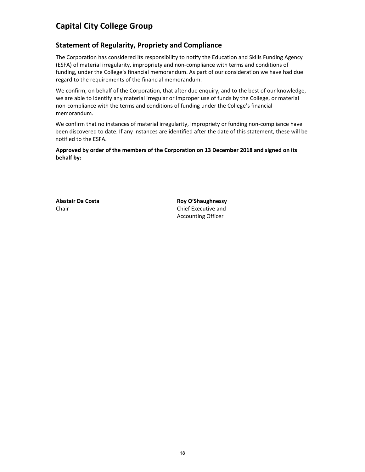# **Statement of Regularity, Propriety and Compliance**

The Corporation has considered its responsibility to notify the Education and Skills Funding Agency (ESFA) of material irregularity, impropriety and non‐compliance with terms and conditions of funding, under the College's financial memorandum. As part of our consideration we have had due regard to the requirements of the financial memorandum.

We confirm, on behalf of the Corporation, that after due enquiry, and to the best of our knowledge, we are able to identify any material irregular or improper use of funds by the College, or material non‐compliance with the terms and conditions of funding under the College's financial memorandum.

We confirm that no instances of material irregularity, impropriety or funding non-compliance have been discovered to date. If any instances are identified after the date of this statement, these will be notified to the ESFA.

**Approved by order of the members of the Corporation on 13 December 2018 and signed on its behalf by:**

**Alastair Da Costa Roy O'Shaughnessy** Chair Chair Chief Executive and Accounting Officer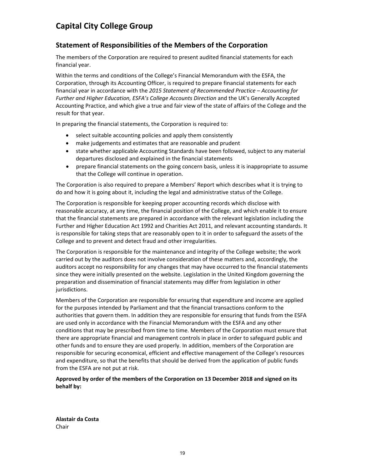# **Statement of Responsibilities of the Members of the Corporation**

The members of the Corporation are required to present audited financial statements for each financial year.

Within the terms and conditions of the College's Financial Memorandum with the ESFA, the Corporation, through its Accounting Officer, is required to prepare financial statements for each financial year in accordance with the *2015 Statement of Recommended Practice – Accounting for Further and Higher Education, ESFA's College Accounts Direction* and the UK's Generally Accepted Accounting Practice, and which give a true and fair view of the state of affairs of the College and the result for that year.

In preparing the financial statements, the Corporation is required to:

- select suitable accounting policies and apply them consistently
- make judgements and estimates that are reasonable and prudent
- state whether applicable Accounting Standards have been followed, subject to any material departures disclosed and explained in the financial statements
- prepare financial statements on the going concern basis, unless it is inappropriate to assume that the College will continue in operation.

The Corporation is also required to prepare a Members' Report which describes what it is trying to do and how it is going about it, including the legal and administrative status of the College.

The Corporation is responsible for keeping proper accounting records which disclose with reasonable accuracy, at any time, the financial position of the College, and which enable it to ensure that the financial statements are prepared in accordance with the relevant legislation including the Further and Higher Education Act 1992 and Charities Act 2011, and relevant accounting standards. It is responsible for taking steps that are reasonably open to it in order to safeguard the assets of the College and to prevent and detect fraud and other irregularities.

The Corporation is responsible for the maintenance and integrity of the College website; the work carried out by the auditors does not involve consideration of these matters and, accordingly, the auditors accept no responsibility for any changes that may have occurred to the financial statements since they were initially presented on the website. Legislation in the United Kingdom governing the preparation and dissemination of financial statements may differ from legislation in other jurisdictions.

Members of the Corporation are responsible for ensuring that expenditure and income are applied for the purposes intended by Parliament and that the financial transactions conform to the authorities that govern them. In addition they are responsible for ensuring that funds from the ESFA are used only in accordance with the Financial Memorandum with the ESFA and any other conditions that may be prescribed from time to time. Members of the Corporation must ensure that there are appropriate financial and management controls in place in order to safeguard public and other funds and to ensure they are used properly. In addition, members of the Corporation are responsible for securing economical, efficient and effective management of the College's resources and expenditure, so that the benefits that should be derived from the application of public funds from the ESFA are not put at risk.

# **Approved by order of the members of the Corporation on 13 December 2018 and signed on its behalf by:**

**Alastair da Costa** Chair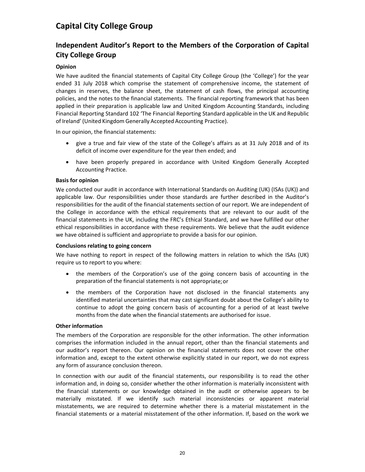# **Independent Auditor's Report to the Members of the Corporation of Capital City College Group**

# **Opinion**

We have audited the financial statements of Capital City College Group (the 'College') for the year ended 31 July 2018 which comprise the statement of comprehensive income, the statement of changes in reserves, the balance sheet, the statement of cash flows, the principal accounting policies, and the notes to the financial statements. The financial reporting framework that has been applied in their preparation is applicable law and United Kingdom Accounting Standards, including Financial Reporting Standard 102 'The Financial Reporting Standard applicable in the UK and Republic of Ireland' (United Kingdom Generally Accepted Accounting Practice).

In our opinion, the financial statements:

- give a true and fair view of the state of the College's affairs as at 31 July 2018 and of its deficit of income over expenditure for the year then ended; and
- have been properly prepared in accordance with United Kingdom Generally Accepted Accounting Practice.

### **Basis for opinion**

We conducted our audit in accordance with International Standards on Auditing (UK) (ISAs (UK)) and applicable law. Our responsibilities under those standards are further described in the Auditor's responsibilities for the audit of the financial statements section of our report. We are independent of the College in accordance with the ethical requirements that are relevant to our audit of the financial statements in the UK, including the FRC's Ethical Standard, and we have fulfilled our other ethical responsibilities in accordance with these requirements. We believe that the audit evidence we have obtained is sufficient and appropriate to provide a basis for our opinion.

# **Conclusions relating to going concern**

We have nothing to report in respect of the following matters in relation to which the ISAs (UK) require us to report to you where:

- the members of the Corporation's use of the going concern basis of accounting in the preparation of the financial statements is not appropriate;or
- the members of the Corporation have not disclosed in the financial statements any identified material uncertainties that may cast significant doubt about the College's ability to continue to adopt the going concern basis of accounting for a period of at least twelve months from the date when the financial statements are authorised for issue.

### **Other information**

The members of the Corporation are responsible for the other information. The other information comprises the information included in the annual report, other than the financial statements and our auditor's report thereon. Our opinion on the financial statements does not cover the other information and, except to the extent otherwise explicitly stated in our report, we do not express any form of assurance conclusion thereon.

In connection with our audit of the financial statements, our responsibility is to read the other information and, in doing so, consider whether the other information is materially inconsistent with the financial statements or our knowledge obtained in the audit or otherwise appears to be materially misstated. If we identify such material inconsistencies or apparent material misstatements, we are required to determine whether there is a material misstatement in the financial statements or a material misstatement of the other information. If, based on the work we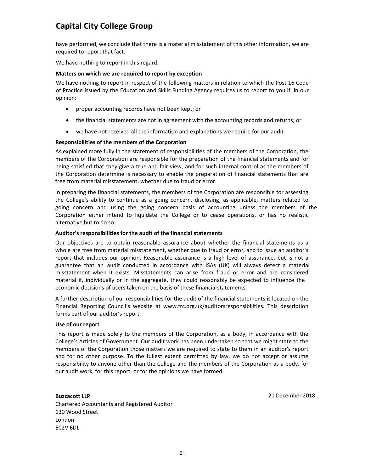have performed, we conclude that there is a material misstatement of this other information, we are required to report that fact.

We have nothing to report in this regard.

#### **Matters on which we are required to report by exception**

We have nothing to report in respect of the following matters in relation to which the Post 16 Code of Practice issued by the Education and Skills Funding Agency requires us to report to you if, in our opinion:

- proper accounting records have not been kept; or
- the financial statements are not in agreement with the accounting records and returns; or
- we have not received all the information and explanations we require for our audit.

#### **Responsibilities of the members of the Corporation**

As explained more fully in the statement of responsibilities of the members of the Corporation, the members of the Corporation are responsible for the preparation of the financial statements and for being satisfied that they give a true and fair view, and for such internal control as the members of the Corporation determine is necessary to enable the preparation of financial statements that are free from material misstatement, whether due to fraud or error.

In preparing the financial statements, the members of the Corporation are responsible for assessing the College's ability to continue as a going concern, disclosing, as applicable, matters related to going concern and using the going concern basis of accounting unless the members of the Corporation either intend to liquidate the College or to cease operations, or has no realistic alternative but to do so.

#### **Auditor's responsibilities for the audit of the financial statements**

Our objectives are to obtain reasonable assurance about whether the financial statements as a whole are free from material misstatement, whether due to fraud or error, and to issue an auditor's report that includes our opinion. Reasonable assurance is a high level of assurance, but is not a guarantee that an audit conducted in accordance with ISAs (UK) will always detect a material misstatement when it exists. Misstatements can arise from fraud or error and are considered material if, individually or in the aggregate, they could reasonably be expected to influence the economic decisions of users taken on the basis of these financialstatements.

A further description of our responsibilities for the audit of the financial statements is located on the Financial Reporting Council's website at www.frc.org.uk/auditorsresponsibilities. This description forms part of our auditor's report.

#### **Use of our report**

This report is made solely to the members of the Corporation, as a body, in accordance with the College's Articles of Government. Our audit work has been undertaken so that we might state to the members of the Corporation those matters we are required to state to them in an auditor's report and for no other purpose. To the fullest extent permitted by law, we do not accept or assume responsibility to anyone other than the College and the members of the Corporation as a body, for our audit work, for this report, or for the opinions we have formed.

### **Buzzacott LLP**

Chartered Accountants and Registered Auditor 130 Wood Street London EC2V 6DL

21 December 2018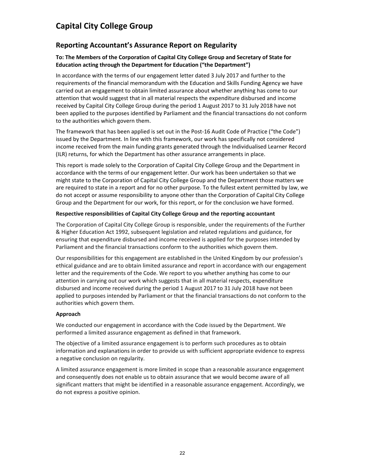# **Reporting Accountant's Assurance Report on Regularity**

# **To: The Members of the Corporation of Capital City College Group and Secretary of State for Education acting through the Department for Education ("the Department")**

In accordance with the terms of our engagement letter dated 3 July 2017 and further to the requirements of the financial memorandum with the Education and Skills Funding Agency we have carried out an engagement to obtain limited assurance about whether anything has come to our attention that would suggest that in all material respects the expenditure disbursed and income received by Capital City College Group during the period 1 August 2017 to 31 July 2018 have not been applied to the purposes identified by Parliament and the financial transactions do not conform to the authorities which govern them.

The framework that has been applied is set out in the Post‐16 Audit Code of Practice ("the Code") issued by the Department. In line with this framework, our work has specifically not considered income received from the main funding grants generated through the Individualised Learner Record (ILR) returns, for which the Department has other assurance arrangements in place.

This report is made solely to the Corporation of Capital City College Group and the Department in accordance with the terms of our engagement letter. Our work has been undertaken so that we might state to the Corporation of Capital City College Group and the Department those matters we are required to state in a report and for no other purpose. To the fullest extent permitted by law, we do not accept or assume responsibility to anyone other than the Corporation of Capital City College Group and the Department for our work, for this report, or for the conclusion we have formed.

# **Respective responsibilities of Capital City College Group and the reporting accountant**

The Corporation of Capital City College Group is responsible, under the requirements of the Further & Higher Education Act 1992, subsequent legislation and related regulations and guidance, for ensuring that expenditure disbursed and income received is applied for the purposes intended by Parliament and the financial transactions conform to the authorities which govern them.

Our responsibilities for this engagement are established in the United Kingdom by our profession's ethical guidance and are to obtain limited assurance and report in accordance with our engagement letter and the requirements of the Code. We report to you whether anything has come to our attention in carrying out our work which suggests that in all material respects, expenditure disbursed and income received during the period 1 August 2017 to 31 July 2018 have not been applied to purposes intended by Parliament or that the financial transactions do not conform to the authorities which govern them.

### **Approach**

We conducted our engagement in accordance with the Code issued by the Department. We performed a limited assurance engagement as defined in that framework.

The objective of a limited assurance engagement is to perform such procedures as to obtain information and explanations in order to provide us with sufficient appropriate evidence to express a negative conclusion on regularity.

A limited assurance engagement is more limited in scope than a reasonable assurance engagement and consequently does not enable us to obtain assurance that we would become aware of all significant matters that might be identified in a reasonable assurance engagement. Accordingly, we do not express a positive opinion.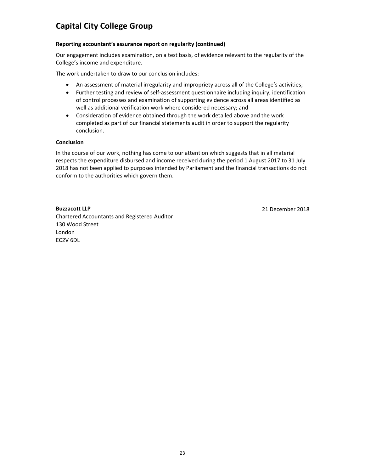# **Reporting accountant's assurance report on regularity (continued)**

Our engagement includes examination, on a test basis, of evidence relevant to the regularity of the College's income and expenditure.

The work undertaken to draw to our conclusion includes:

- An assessment of material irregularity and impropriety across all of the College's activities;
- Further testing and review of self-assessment questionnaire including inquiry, identification of control processes and examination of supporting evidence across all areas identified as well as additional verification work where considered necessary; and
- Consideration of evidence obtained through the work detailed above and the work completed as part of our financial statements audit in order to support the regularity conclusion.

# **Conclusion**

In the course of our work, nothing has come to our attention which suggests that in all material respects the expenditure disbursed and income received during the period 1 August 2017 to 31 July 2018 has not been applied to purposes intended by Parliament and the financial transactions do not conform to the authorities which govern them.

# **Buzzacott LLP**

Chartered Accountants and Registered Auditor 130 Wood Street London EC2V 6DL

21 December 2018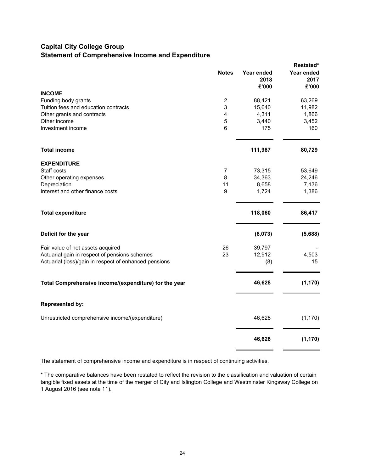# **Capital City College Group Statement of Comprehensive Income and Expenditure**

|                                                                                    |                |                             | Restated*                   |
|------------------------------------------------------------------------------------|----------------|-----------------------------|-----------------------------|
|                                                                                    | <b>Notes</b>   | Year ended<br>2018<br>£'000 | Year ended<br>2017<br>£'000 |
| <b>INCOME</b>                                                                      |                |                             |                             |
| Funding body grants                                                                | $\overline{2}$ | 88,421                      | 63,269                      |
| Tuition fees and education contracts                                               | 3              | 15,640                      | 11,982                      |
| Other grants and contracts                                                         | 4              | 4,311                       | 1,866                       |
| Other income                                                                       | 5              | 3,440                       | 3,452                       |
| Investment income                                                                  | 6              | 175                         | 160                         |
| <b>Total income</b>                                                                |                | 111,987                     | 80,729                      |
| <b>EXPENDITURE</b>                                                                 |                |                             |                             |
| Staff costs                                                                        | $\overline{7}$ | 73,315                      | 53,649                      |
| Other operating expenses                                                           | 8              | 34,363                      | 24,246                      |
| Depreciation                                                                       | 11             | 8,658                       | 7,136                       |
| Interest and other finance costs                                                   | 9              | 1,724                       | 1,386                       |
| <b>Total expenditure</b>                                                           |                | 118,060                     | 86,417                      |
| Deficit for the year                                                               |                | (6,073)                     | (5,688)                     |
|                                                                                    | 26             | 39,797                      |                             |
| Fair value of net assets acquired<br>Actuarial gain in respect of pensions schemes | 23             | 12,912                      | 4,503                       |
| Actuarial (loss)/gain in respect of enhanced pensions                              |                | (8)                         | 15                          |
| Total Comprehensive income/(expenditure) for the year                              |                | 46,628                      | (1, 170)                    |
| <b>Represented by:</b>                                                             |                |                             |                             |
| Unrestricted comprehensive income/(expenditure)                                    |                | 46,628                      | (1, 170)                    |
|                                                                                    |                | 46,628                      | (1, 170)                    |

The statement of comprehensive income and expenditure is in respect of continuing activities.

\* The comparative balances have been restated to reflect the revision to the classification and valuation of certain tangible fixed assets at the time of the merger of City and Islington College and Westminster Kingsway College on 1 August 2016 (see note 11).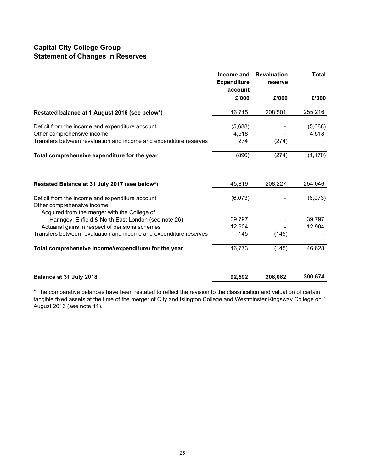# **Capital City College Group Statement of Changes in Reserves**

|                                                                                                     | Income and<br><b>Expenditure</b><br>account | <b>Revaluation</b><br>reserve | <b>Total</b> |
|-----------------------------------------------------------------------------------------------------|---------------------------------------------|-------------------------------|--------------|
|                                                                                                     | £'000                                       | £'000                         | £'000        |
| Restated balance at 1 August 2016 (see below*)                                                      | 46,715                                      | 208,501                       | 255,216      |
| Deficit from the income and expenditure account                                                     | (5,688)                                     |                               | (5,688)      |
| Other comprehensive income<br>Transfers between revaluation and income and expenditure reserves     | 4,518<br>274                                | (274)                         | 4,518        |
| Total comprehensive expenditure for the year                                                        | (896)                                       | (274)                         | (1, 170)     |
| Restated Balance at 31 July 2017 (see below*)                                                       | 45,819                                      | 208,227                       | 254,046      |
| Deficit from the income and expenditure account<br>Other comprehensive income:                      | (6,073)                                     |                               | (6,073)      |
| Acquired from the merger with the College of<br>Haringey, Enfield & North East London (see note 26) | 39,797                                      |                               | 39,797       |
| Actuarial gains in respect of pensions schemes                                                      | 12,904                                      |                               | 12,904       |
| Transfers between revaluation and income and expenditure reserves                                   | 145                                         | (145)                         |              |
| Total comprehensive income/(expenditure) for the year                                               | 46,773                                      | (145)                         | 46,628       |
| Balance at 31 July 2018                                                                             | 92,592                                      | 208,082                       | 300,674      |

\* The comparative balances have been restated to reflect the revision to the classification and valuation of certain tangible fixed assets at the time of the merger of City and Islington College and Westminster Kingsway College on 1 August 2016 (see note 11).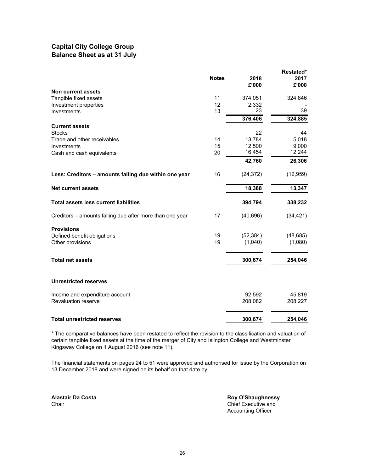# **Capital City College Group Balance Sheet as at 31 July**

|                                                          |              |           | Restated* |
|----------------------------------------------------------|--------------|-----------|-----------|
|                                                          | <b>Notes</b> | 2018      | 2017      |
| Non current assets                                       |              | £'000     | £'000     |
| Tangible fixed assets                                    | 11           | 374,051   | 324,846   |
| Investment properties                                    | 12           | 2,332     |           |
| Investments                                              | 13           | 23        | 39        |
|                                                          |              | 376,406   | 324,885   |
| <b>Current assets</b>                                    |              |           |           |
| <b>Stocks</b>                                            |              | 22        | 44        |
| Trade and other receivables                              | 14           | 13,784    | 5.018     |
| Investments                                              | 15           | 12,500    | 9,000     |
| Cash and cash equivalents                                | 20           | 16,454    | 12,244    |
|                                                          |              | 42,760    | 26,306    |
| Less: Creditors - amounts falling due within one year    | 16           | (24, 372) | (12, 959) |
| <b>Net current assets</b>                                |              | 18,388    | 13,347    |
| <b>Total assets less current liabilities</b>             |              | 394,794   | 338,232   |
| Creditors – amounts falling due after more than one year | 17           | (40, 696) | (34, 421) |
| <b>Provisions</b>                                        |              |           |           |
| Defined benefit obligations                              | 19           | (52, 384) | (48, 685) |
| Other provisions                                         | 19           | (1,040)   | (1,080)   |
|                                                          |              |           |           |
| <b>Total net assets</b>                                  |              | 300,674   | 254,046   |
| <b>Unrestricted reserves</b>                             |              |           |           |
| Income and expenditure account                           |              | 92,592    | 45,819    |
| Revaluation reserve                                      |              | 208,082   | 208,227   |
| <b>Total unrestricted reserves</b>                       |              | 300,674   | 254,046   |

\* The comparative balances have been restated to reflect the revision to the classification and valuation of certain tangible fixed assets at the time of the merger of City and Islington College and Westminster Kingsway College on 1 August 2016 (see note 11).

The financial statements on pages 24 to 51 were approved and authorised for issue by the Corporation on 13 December 2018 and were signed on its behalf on that date by:

**Alastair Da Costa Roy O'Shaughnessy**<br> **Roy O'Shaughnessy**<br>
Chief Executive and Chief Executive and Accounting Officer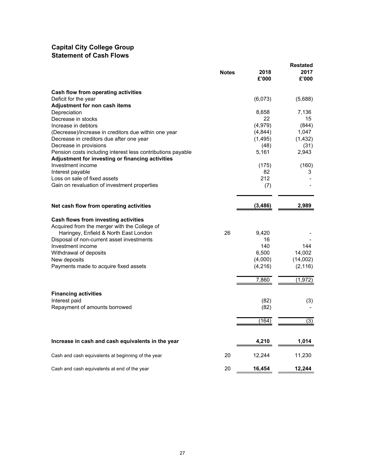# **Capital City College Group Statement of Cash Flows**

|                                                             |              |          | <b>Restated</b> |
|-------------------------------------------------------------|--------------|----------|-----------------|
|                                                             | <b>Notes</b> | 2018     | 2017            |
|                                                             |              | £'000    | £'000           |
| Cash flow from operating activities                         |              |          |                 |
| Deficit for the year                                        |              | (6,073)  | (5,688)         |
| Adjustment for non cash items                               |              |          |                 |
| Depreciation                                                |              | 8,658    | 7,136           |
| Decrease in stocks                                          |              | 22       | 15              |
| Increase in debtors                                         |              | (4,979)  | (844)           |
| (Decrease)/increase in creditors due within one year        |              | (4,844)  | 1,047           |
| Decrease in creditors due after one year                    |              | (1, 495) | (1, 432)        |
| Decrease in provisions                                      |              | (48)     | (31)            |
| Pension costs including interest less contributions payable |              | 5,161    | 2,943           |
| Adjustment for investing or financing activities            |              |          |                 |
| Investment income                                           |              | (175)    | (160)           |
| Interest payable                                            |              | 82       | 3               |
| Loss on sale of fixed assets                                |              | 212      |                 |
| Gain on revaluation of investment properties                |              | (7)      |                 |
|                                                             |              |          |                 |
| Net cash flow from operating activities                     |              | (3, 486) | 2,989           |
| Cash flows from investing activities                        |              |          |                 |
| Acquired from the merger with the College of                |              |          |                 |
| Haringey, Enfield & North East London                       | 26           | 9,420    |                 |
| Disposal of non-current asset investments                   |              | 16       |                 |
| Investment income                                           |              | 140      | 144             |
| Withdrawal of deposits                                      |              | 6,500    | 14,002          |
| New deposits                                                |              | (4,000)  | (14,002)        |
| Payments made to acquire fixed assets                       |              | (4, 216) | (2, 116)        |
|                                                             |              | 7,860    | (1, 972)        |
|                                                             |              |          |                 |
| <b>Financing activities</b>                                 |              |          |                 |
| Interest paid                                               |              | (82)     | (3)             |
| Repayment of amounts borrowed                               |              | (82)     |                 |
|                                                             |              | (164)    | (3)             |
| Increase in cash and cash equivalents in the year           |              | 4,210    | 1,014           |
|                                                             |              |          |                 |
| Cash and cash equivalents at beginning of the year          | 20           | 12,244   | 11,230          |
| Cash and cash equivalents at end of the year                | 20           | 16,454   | 12,244          |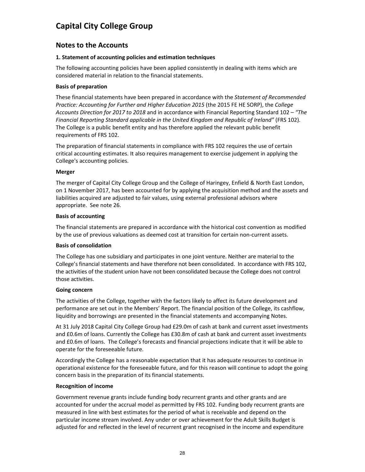# **Notes to the Accounts**

# **1. Statement of accounting policies and estimation techniques**

The following accounting policies have been applied consistently in dealing with items which are considered material in relation to the financial statements.

# **Basis of preparation**

These financial statements have been prepared in accordance with the *Statement of Recommended Practice: Accounting for Further and Higher Education 2015* (the 2015 FE HE SORP), the *College Accounts Direction for 2017 to 2018* and in accordance with Financial Reporting Standard 102 – *"The Financial Reporting Standard applicable in the United Kingdom and Republic of Ireland"* (FRS 102). The College is a public benefit entity and has therefore applied the relevant public benefit requirements of FRS 102.

The preparation of financial statements in compliance with FRS 102 requires the use of certain critical accounting estimates. It also requires management to exercise judgement in applying the College's accounting policies.

# **Merger**

The merger of Capital City College Group and the College of Haringey, Enfield & North East London, on 1 November 2017, has been accounted for by applying the acquisition method and the assets and liabilities acquired are adjusted to fair values, using external professional advisors where appropriate. See note 26.

### **Basis of accounting**

The financial statements are prepared in accordance with the historical cost convention as modified by the use of previous valuations as deemed cost at transition for certain non-current assets.

### **Basis of consolidation**

The College has one subsidiary and participates in one joint venture. Neither are material to the College's financial statements and have therefore not been consolidated. In accordance with FRS 102, the activities of the student union have not been consolidated because the College does not control those activities.

### **Going concern**

The activities of the College, together with the factors likely to affect its future development and performance are set out in the Members' Report. The financial position of the College, its cashflow, liquidity and borrowings are presented in the financial statements and accompanying Notes.

At 31 July 2018 Capital City College Group had £29.0m of cash at bank and current asset investments and £0.6m of loans. Currently the College has £30.8m of cash at bank and current asset investments and £0.6m of loans. The College's forecasts and financial projections indicate that it will be able to operate for the foreseeable future.

Accordingly the College has a reasonable expectation that it has adequate resources to continue in operational existence for the foreseeable future, and for this reason will continue to adopt the going concern basis in the preparation of its financial statements.

### **Recognition of income**

Government revenue grants include funding body recurrent grants and other grants and are accounted for under the accrual model as permitted by FRS 102. Funding body recurrent grants are measured in line with best estimates for the period of what is receivable and depend on the particular income stream involved. Any under or over achievement for the Adult Skills Budget is adjusted for and reflected in the level of recurrent grant recognised in the income and expenditure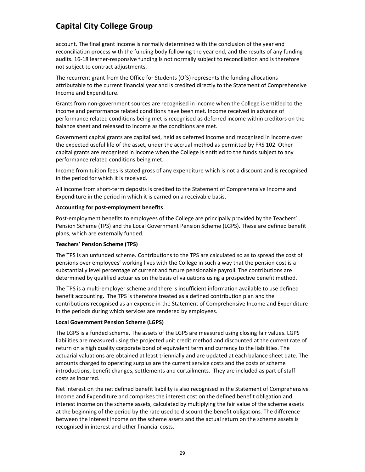account. The final grant income is normally determined with the conclusion of the year end reconciliation process with the funding body following the year end, and the results of any funding audits. 16‐18 learner‐responsive funding is not normally subject to reconciliation and is therefore not subject to contract adjustments.

The recurrent grant from the Office for Students (OfS) represents the funding allocations attributable to the current financial year and is credited directly to the Statement of Comprehensive Income and Expenditure.

Grants from non‐government sources are recognised in income when the College is entitled to the income and performance related conditions have been met. Income received in advance of performance related conditions being met is recognised as deferred income within creditors on the balance sheet and released to income as the conditions are met.

Government capital grants are capitalised, held as deferred income and recognised in income over the expected useful life of the asset, under the accrual method as permitted by FRS 102. Other capital grants are recognised in income when the College is entitled to the funds subject to any performance related conditions being met.

Income from tuition fees is stated gross of any expenditure which is not a discount and is recognised in the period for which it is received.

All income from short‐term deposits is credited to the Statement of Comprehensive Income and Expenditure in the period in which it is earned on a receivable basis.

### **Accounting for post‐employment benefits**

Post-employment benefits to employees of the College are principally provided by the Teachers' Pension Scheme (TPS) and the Local Government Pension Scheme (LGPS). These are defined benefit plans, which are externally funded.

# **Teachers' Pension Scheme (TPS)**

The TPS is an unfunded scheme. Contributions to the TPS are calculated so as to spread the cost of pensions over employees' working lives with the College in such a way that the pension cost is a substantially level percentage of current and future pensionable payroll. The contributions are determined by qualified actuaries on the basis of valuations using a prospective benefit method.

The TPS is a multi‐employer scheme and there is insufficient information available to use defined benefit accounting. The TPS is therefore treated as a defined contribution plan and the contributions recognised as an expense in the Statement of Comprehensive Income and Expenditure in the periods during which services are rendered by employees.

### **Local Government Pension Scheme (LGPS)**

The LGPS is a funded scheme. The assets of the LGPS are measured using closing fair values. LGPS liabilities are measured using the projected unit credit method and discounted at the current rate of return on a high quality corporate bond of equivalent term and currency to the liabilities. The actuarial valuations are obtained at least triennially and are updated at each balance sheet date. The amounts charged to operating surplus are the current service costs and the costs of scheme introductions, benefit changes, settlements and curtailments. They are included as part of staff costs as incurred.

Net interest on the net defined benefit liability is also recognised in the Statement of Comprehensive Income and Expenditure and comprises the interest cost on the defined benefit obligation and interest income on the scheme assets, calculated by multiplying the fair value of the scheme assets at the beginning of the period by the rate used to discount the benefit obligations. The difference between the interest income on the scheme assets and the actual return on the scheme assets is recognised in interest and other financial costs.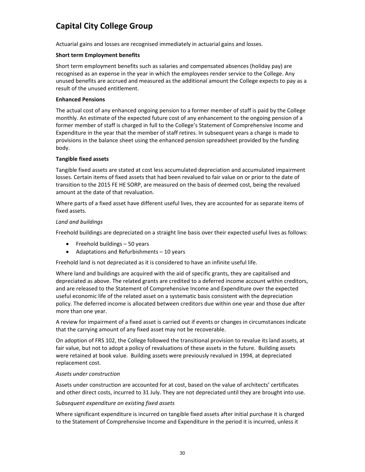Actuarial gains and losses are recognised immediately in actuarial gains and losses.

# **Short term Employment benefits**

Short term employment benefits such as salaries and compensated absences (holiday pay) are recognised as an expense in the year in which the employees render service to the College. Any unused benefits are accrued and measured as the additional amount the College expects to pay as a result of the unused entitlement.

# **Enhanced Pensions**

The actual cost of any enhanced ongoing pension to a former member of staff is paid by the College monthly. An estimate of the expected future cost of any enhancement to the ongoing pension of a former member of staff is charged in full to the College's Statement of Comprehensive Income and Expenditure in the year that the member of staff retires. In subsequent years a charge is made to provisions in the balance sheet using the enhanced pension spreadsheet provided by the funding body.

# **Tangible fixed assets**

Tangible fixed assets are stated at cost less accumulated depreciation and accumulated impairment losses. Certain items of fixed assets that had been revalued to fair value on or prior to the date of transition to the 2015 FE HE SORP, are measured on the basis of deemed cost, being the revalued amount at the date of that revaluation.

Where parts of a fixed asset have different useful lives, they are accounted for as separate items of fixed assets.

# *Land and buildings*

Freehold buildings are depreciated on a straight line basis over their expected useful lives as follows:

- $\bullet$  Freehold buildings  $-50$  years
- Adaptations and Refurbishments 10 years

Freehold land is not depreciated as it is considered to have an infinite useful life.

Where land and buildings are acquired with the aid of specific grants, they are capitalised and depreciated as above. The related grants are credited to a deferred income account within creditors, and are released to the Statement of Comprehensive Income and Expenditure over the expected useful economic life of the related asset on a systematic basis consistent with the depreciation policy. The deferred income is allocated between creditors due within one year and those due after more than one year.

A review for impairment of a fixed asset is carried out if events or changes in circumstances indicate that the carrying amount of any fixed asset may not be recoverable.

On adoption of FRS 102, the College followed the transitional provision to revalue its land assets, at fair value, but not to adopt a policy of revaluations of these assets in the future. Building assets were retained at book value. Building assets were previously revalued in 1994, at depreciated replacement cost.

### *Assets under construction*

Assets under construction are accounted for at cost, based on the value of architects' certificates and other direct costs, incurred to 31 July. They are not depreciated until they are brought into use.

# *Subsequent expenditure on existing fixed assets*

Where significant expenditure is incurred on tangible fixed assets after initial purchase it is charged to the Statement of Comprehensive Income and Expenditure in the period it is incurred, unless it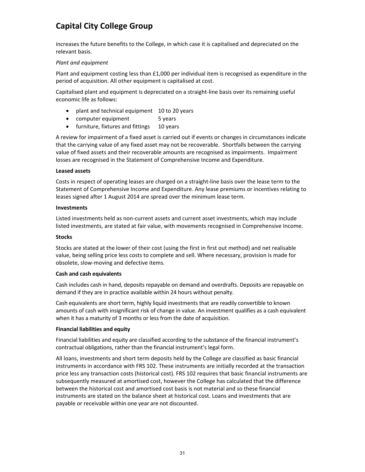increases the future benefits to the College, in which case it is capitalised and depreciated on the relevant basis.

# *Plant and equipment*

Plant and equipment costing less than  $£1,000$  per individual item is recognised as expenditure in the period of acquisition. All other equipment is capitalised at cost.

Capitalised plant and equipment is depreciated on a straight‐line basis over its remaining useful economic life as follows:

- plant and technical equipment 10 to 20 years
- computer equipment 5 years
- furniture, fixtures and fittings 10 years

A review for impairment of a fixed asset is carried out if events or changes in circumstances indicate that the carrying value of any fixed asset may not be recoverable. Shortfalls between the carrying value of fixed assets and their recoverable amounts are recognised as impairments. Impairment losses are recognised in the Statement of Comprehensive Income and Expenditure.

### **Leased assets**

Costs in respect of operating leases are charged on a straight‐line basis over the lease term to the Statement of Comprehensive Income and Expenditure. Any lease premiums or incentives relating to leases signed after 1 August 2014 are spread over the minimum lease term.

### **Investments**

Listed investments held as non‐current assets and current asset investments, which may include listed investments, are stated at fair value, with movements recognised in Comprehensive Income.

### **Stocks**

Stocks are stated at the lower of their cost (using the first in first out method) and net realisable value, being selling price less costs to complete and sell. Where necessary, provision is made for obsolete, slow‐moving and defective items.

### **Cash and cash equivalents**

Cash includes cash in hand, deposits repayable on demand and overdrafts. Deposits are repayable on demand if they are in practice available within 24 hours without penalty.

Cash equivalents are short term, highly liquid investments that are readily convertible to known amounts of cash with insignificant risk of change in value. An investment qualifies as a cash equivalent when it has a maturity of 3 months or less from the date of acquisition.

### **Financial liabilities and equity**

Financial liabilities and equity are classified according to the substance of the financial instrument's contractual obligations, rather than the financial instrument's legal form.

All loans, investments and short term deposits held by the College are classified as basic financial instruments in accordance with FRS 102. These instruments are initially recorded at the transaction price less any transaction costs (historical cost). FRS 102 requires that basic financial instruments are subsequently measured at amortised cost, however the College has calculated that the difference between the historical cost and amortised cost basis is not material and so these financial instruments are stated on the balance sheet at historical cost. Loans and investments that are payable or receivable within one year are not discounted.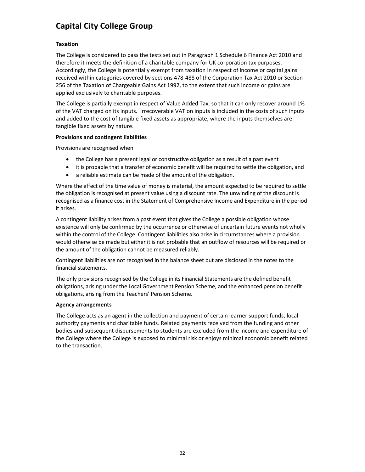# **Taxation**

The College is considered to pass the tests set out in Paragraph 1 Schedule 6 Finance Act 2010 and therefore it meets the definition of a charitable company for UK corporation tax purposes. Accordingly, the College is potentially exempt from taxation in respect of income or capital gains received within categories covered by sections 478‐488 of the Corporation Tax Act 2010 or Section 256 of the Taxation of Chargeable Gains Act 1992, to the extent that such income or gains are applied exclusively to charitable purposes.

The College is partially exempt in respect of Value Added Tax, so that it can only recover around 1% of the VAT charged on its inputs. Irrecoverable VAT on inputs is included in the costs of such inputs and added to the cost of tangible fixed assets as appropriate, where the inputs themselves are tangible fixed assets by nature.

# **Provisions and contingent liabilities**

Provisions are recognised when

- the College has a present legal or constructive obligation as a result of a past event
- it is probable that a transfer of economic benefit will be required to settle the obligation, and
- a reliable estimate can be made of the amount of the obligation.

Where the effect of the time value of money is material, the amount expected to be required to settle the obligation is recognised at present value using a discount rate. The unwinding of the discount is recognised as a finance cost in the Statement of Comprehensive Income and Expenditure in the period it arises.

A contingent liability arises from a past event that gives the College a possible obligation whose existence will only be confirmed by the occurrence or otherwise of uncertain future events not wholly within the control of the College. Contingent liabilities also arise in circumstances where a provision would otherwise be made but either it is not probable that an outflow of resources will be required or the amount of the obligation cannot be measured reliably.

Contingent liabilities are not recognised in the balance sheet but are disclosed in the notes to the financial statements.

The only provisions recognised by the College in its Financial Statements are the defined benefit obligations, arising under the Local Government Pension Scheme, and the enhanced pension benefit obligations, arising from the Teachers' Pension Scheme.

# **Agency arrangements**

The College acts as an agent in the collection and payment of certain learner support funds, local authority payments and charitable funds. Related payments received from the funding and other bodies and subsequent disbursements to students are excluded from the income and expenditure of the College where the College is exposed to minimal risk or enjoys minimal economic benefit related to the transaction.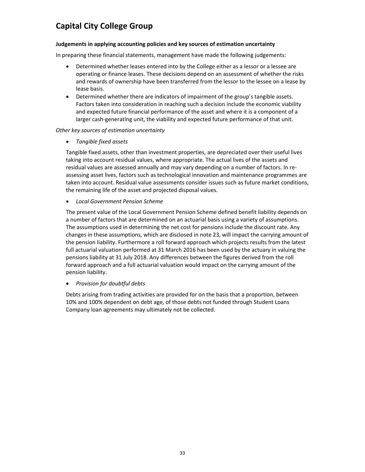# **Judgements in applying accounting policies and key sources of estimation uncertainty**

In preparing these financial statements, management have made the following judgements:

- Determined whether leases entered into by the College either as a lessor or a lessee are operating or finance leases. These decisions depend on an assessment of whether the risks and rewards of ownership have been transferred from the lessor to the lessee on a lease by lease basis.
- Determined whether there are indicators of impairment of the group's tangible assets. Factors taken into consideration in reaching such a decision include the economic viability and expected future financial performance of the asset and where it is a component of a larger cash-generating unit, the viability and expected future performance of that unit.

# *Other key sources of estimation uncertainty*

*Tangible fixed assets*

Tangible fixed assets, other than investment properties, are depreciated over their useful lives taking into account residual values, where appropriate. The actual lives of the assets and residual values are assessed annually and may vary depending on a number of factors. In re‐ assessing asset lives, factors such as technological innovation and maintenance programmes are taken into account. Residual value assessments consider issues such as future market conditions, the remaining life of the asset and projected disposal values.

*Local Government Pension Scheme*

The present value of the Local Government Pension Scheme defined benefit liability depends on a number of factors that are determined on an actuarial basis using a variety of assumptions. The assumptions used in determining the net cost for pensions include the discount rate. Any changes in these assumptions, which are disclosed in note 23, will impact the carrying amount of the pension liability. Furthermore a roll forward approach which projects results from the latest full actuarial valuation performed at 31 March 2016 has been used by the actuary in valuing the pensions liability at 31 July 2018. Any differences between the figures derived from the roll forward approach and a full actuarial valuation would impact on the carrying amount of the pension liability.

# *Provision for doubtful debts*

Debts arising from trading activities are provided for on the basis that a proportion, between 10% and 100% dependent on debt age, of those debts not funded through Student Loans Company loan agreements may ultimately not be collected.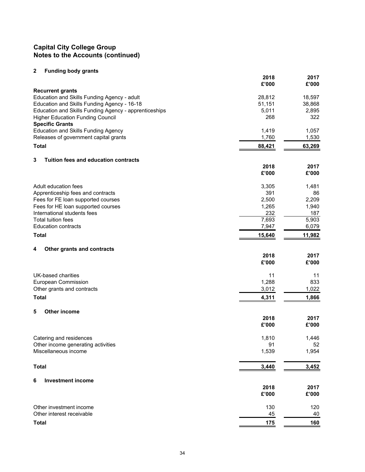# **2 Funding body grants**

| , anang soay grand                                    | 2018<br>£'000 | 2017<br>£'000 |
|-------------------------------------------------------|---------------|---------------|
| <b>Recurrent grants</b>                               |               |               |
| Education and Skills Funding Agency - adult           | 28,812        | 18,597        |
| Education and Skills Funding Agency - 16-18           | 51,151        | 38,868        |
| Education and Skills Funding Agency - apprenticeships | 5,011         | 2,895         |
| <b>Higher Education Funding Council</b>               | 268           | 322           |
| <b>Specific Grants</b>                                |               |               |
| <b>Education and Skills Funding Agency</b>            | 1,419         | 1,057         |
| Releases of government capital grants                 | 1,760         | 1,530         |
| <b>Total</b>                                          | 88,421        | 63,269        |
| 3<br>Tuition fees and education contracts             |               |               |
|                                                       | 2018          | 2017          |
|                                                       | £'000         | £'000         |
| Adult education fees                                  | 3,305         | 1,481         |
| Apprenticeship fees and contracts                     | 391           | 86            |
| Fees for FE loan supported courses                    | 2,500         | 2,209         |
| Fees for HE loan supported courses                    | 1,265         | 1,940         |
| International students fees                           | 232           | 187           |
| <b>Total tuition fees</b>                             | 7,693         | 5,903         |
| <b>Education contracts</b>                            | 7,947         | 6,079         |
| <b>Total</b>                                          | 15,640        | 11,982        |
|                                                       |               |               |
| 4<br>Other grants and contracts                       | 2018          | 2017          |
|                                                       | £'000         | £'000         |
|                                                       |               |               |
| UK-based charities                                    | 11            | 11            |
| European Commission                                   | 1,288         | 833           |
| Other grants and contracts                            | 3,012         | 1,022         |
| <b>Total</b>                                          | 4,311         | 1,866         |
| 5<br><b>Other income</b>                              |               |               |
|                                                       | 2018          | 2017          |
|                                                       | £'000         | £'000         |
| Catering and residences                               | 1,810         | 1,446         |
| Other income generating activities                    | 91            | 52            |
| Miscellaneous income                                  | 1,539         | 1,954         |
|                                                       |               |               |
| <b>Total</b>                                          | 3,440         | 3,452         |
| 6<br><b>Investment income</b>                         |               |               |
|                                                       | 2018          | 2017          |
|                                                       | £'000         | £'000         |
| Other investment income                               | 130           | 120           |
| Other interest receivable                             | 45            | 40            |
|                                                       |               |               |
| <b>Total</b>                                          | <u>175</u>    | <u>160</u>    |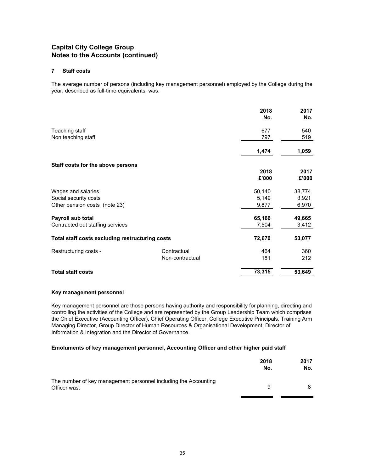#### **7 Staff costs**

The average number of persons (including key management personnel) employed by the College during the year, described as full-time equivalents, was:

|                                                 |                 | 2018<br>No. | 2017<br>No. |
|-------------------------------------------------|-----------------|-------------|-------------|
| Teaching staff                                  |                 | 677         | 540         |
| Non teaching staff                              |                 | 797         | 519         |
|                                                 |                 | 1,474       | 1,059       |
| Staff costs for the above persons               |                 |             |             |
|                                                 |                 | 2018        | 2017        |
|                                                 |                 | £'000       | £'000       |
| Wages and salaries                              |                 | 50,140      | 38,774      |
| Social security costs                           |                 | 5,149       | 3,921       |
| Other pension costs (note 23)                   |                 | 9,877       | 6,970       |
| Payroll sub total                               |                 | 65,166      | 49,665      |
| Contracted out staffing services                |                 | 7,504       | 3,412       |
| Total staff costs excluding restructuring costs |                 | 72,670      | 53,077      |
| Restructuring costs -                           | Contractual     | 464         | 360         |
|                                                 | Non-contractual | 181         | 212         |
| <b>Total staff costs</b>                        |                 | 73,315      | 53,649      |

#### **Key management personnel**

Key management personnel are those persons having authority and responsibility for planning, directing and controlling the activities of the College and are represented by the Group Leadership Team which comprises the Chief Executive (Accounting Officer), Chief Operating Officer, College Executive Principals, Training Arm Managing Director, Group Director of Human Resources & Organisational Development, Director of Information & Integration and the Director of Governance.

#### **Emoluments of key management personnel, Accounting Officer and other higher paid staff**

|                                                                                 | 2018<br>No. | 2017<br>No. |
|---------------------------------------------------------------------------------|-------------|-------------|
| The number of key management personnel including the Accounting<br>Officer was: | 9           |             |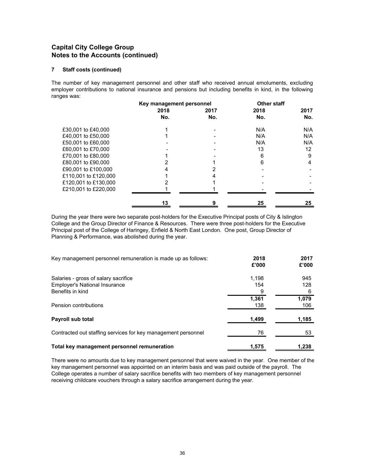#### **7 Staff costs (continued)**

The number of key management personnel and other staff who received annual emoluments, excluding employer contributions to national insurance and pensions but including benefits in kind, in the following ranges was:

|                      | Key management personnel |      | <b>Other staff</b> |      |
|----------------------|--------------------------|------|--------------------|------|
|                      | 2018                     | 2017 | 2018               | 2017 |
|                      | No.                      | No.  | No.                | No.  |
| £30,001 to £40,000   |                          |      | N/A                | N/A  |
| £40,001 to £50,000   |                          |      | N/A                | N/A  |
| £50,001 to £60,000   |                          |      | N/A                | N/A  |
| £60,001 to £70,000   |                          |      | 13                 | 12   |
| £70,001 to £80,000   |                          |      | 6                  | 9    |
| £80,001 to £90,000   |                          |      | 6                  | 4    |
| £90,001 to £100,000  |                          |      |                    |      |
| £110,001 to £120,000 |                          |      |                    |      |
| £120,001 to £130,000 |                          |      |                    |      |
| £210,001 to £220,000 |                          |      |                    |      |
|                      | 13                       | 9    | 25                 | 25   |

During the year there were two separate post-holders for the Executive Principal posts of City & Islington College and the Group Director of Finance & Resources. There were three post-holders for the Executive Principal post of the College of Haringey, Enfield & North East London. One post, Group Director of Planning & Performance, was abolished during the year.

| Key management personnel remuneration is made up as follows:  | 2018<br>£'000 | 2017<br>£'000 |
|---------------------------------------------------------------|---------------|---------------|
| Salaries - gross of salary sacrifice                          | 1.198         | 945           |
| <b>Employer's National Insurance</b>                          | 154           | 128           |
| Benefits in kind                                              | 9             | 6             |
|                                                               | 1.361         | 1,079         |
| Pension contributions                                         | 138           | 106           |
| Payroll sub total                                             | 1,499         | 1,185         |
| Contracted out staffing services for key management personnel | 76            | 53            |
| Total key management personnel remuneration                   | 1.575         | 1.238         |

There were no amounts due to key management personnel that were waived in the year. One member of the key management personnel was appointed on an interim basis and was paid outside of the payroll. The College operates a number of salary sacrifice benefits with two members of key management personnel receiving childcare vouchers through a salary sacrifice arrangement during the year.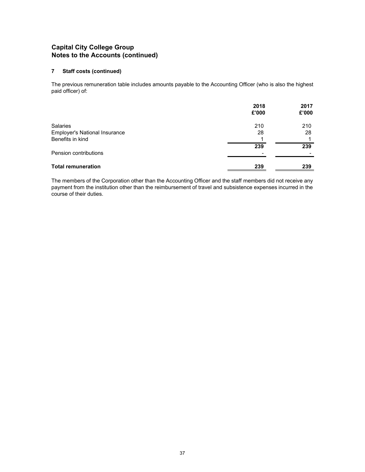### **7 Staff costs (continued)**

The previous remuneration table includes amounts payable to the Accounting Officer (who is also the highest paid officer) of:

|                                      | 2018<br>£'000            | 2017<br>£'000 |
|--------------------------------------|--------------------------|---------------|
| Salaries                             | 210                      | 210           |
| <b>Employer's National Insurance</b> | 28                       | 28            |
| Benefits in kind                     |                          |               |
|                                      | 239                      | 239           |
| Pension contributions                | $\overline{\phantom{0}}$ |               |
| <b>Total remuneration</b>            | 239                      | 239           |

The members of the Corporation other than the Accounting Officer and the staff members did not receive any payment from the institution other than the reimbursement of travel and subsistence expenses incurred in the course of their duties.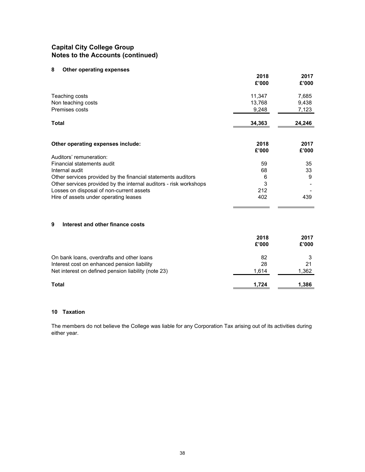# **8 Other operating expenses**

|                                                                   | 2018<br>£'000 | 2017<br>£'000 |
|-------------------------------------------------------------------|---------------|---------------|
| Teaching costs                                                    | 11,347        | 7,685         |
| Non teaching costs                                                | 13,768        | 9,438         |
| Premises costs                                                    | 9,248         | 7,123         |
| Total                                                             | 34,363        | 24,246        |
| Other operating expenses include:                                 | 2018<br>£'000 | 2017<br>£'000 |
| Auditors' remuneration:                                           |               |               |
| Financial statements audit                                        | 59            | 35            |
| Internal audit                                                    | 68            | 33            |
| Other services provided by the financial statements auditors      | 6             | 9             |
| Other services provided by the internal auditors - risk workshops | 3             |               |
| Losses on disposal of non-current assets                          | 212           |               |
| Hire of assets under operating leases                             | 402           | 439           |
| 9<br>Interest and other finance costs                             |               |               |
|                                                                   |               |               |
|                                                                   | 2018<br>£'000 | 2017<br>£'000 |
| On bank loans, overdrafts and other loans                         | 82            | 3             |
| Interest cost on enhanced pension liability                       | 28            | 21            |
| Net interest on defined pension liability (note 23)               | 1,614         | 1,362         |
| Total                                                             | 1,724         | 1,386         |

### **10 Taxation**

The members do not believe the College was liable for any Corporation Tax arising out of its activities during either year.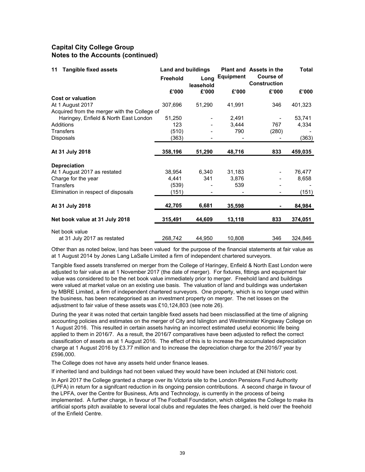| <b>Tangible fixed assets</b><br>11           | <b>Land and buildings</b> |                   |           | <b>Plant and Assets in the</b>          | <b>Total</b> |
|----------------------------------------------|---------------------------|-------------------|-----------|-----------------------------------------|--------------|
|                                              | <b>Freehold</b>           | Long<br>leasehold | Equipment | <b>Course of</b><br><b>Construction</b> |              |
|                                              | £'000                     | £'000             | £'000     | £'000                                   | £'000        |
| <b>Cost or valuation</b>                     |                           |                   |           |                                         |              |
| At 1 August 2017                             | 307,696                   | 51,290            | 41,991    | 346                                     | 401,323      |
| Acquired from the merger with the College of |                           |                   |           |                                         |              |
| Haringey, Enfield & North East London        | 51,250                    |                   | 2,491     |                                         | 53,741       |
| Additions                                    | 123                       |                   | 3,444     | 767                                     | 4,334        |
| <b>Transfers</b>                             | (510)                     |                   | 790       | (280)                                   |              |
| Disposals                                    | (363)                     |                   |           |                                         | (363)        |
| At 31 July 2018                              | 358,196                   | 51,290            | 48,716    | 833                                     | 459,035      |
| <b>Depreciation</b>                          |                           |                   |           |                                         |              |
| At 1 August 2017 as restated                 | 38,954                    | 6,340             | 31,183    |                                         | 76,477       |
| Charge for the year                          | 4,441                     | 341               | 3,876     |                                         | 8,658        |
| <b>Transfers</b>                             | (539)                     |                   | 539       |                                         |              |
| Elimination in respect of disposals          | (151)                     |                   |           |                                         | (151)        |
| At 31 July 2018                              | 42,705                    | 6,681             | 35,598    |                                         | 84.984       |
| Net book value at 31 July 2018               | 315,491                   | 44,609            | 13,118    | 833                                     | 374,051      |
| Net book value                               |                           |                   |           |                                         |              |
| at 31 July 2017 as restated                  | 268,742                   | 44,950            | 10,808    | 346                                     | 324,846      |

Other than as noted below, land has been valued for the purpose of the financial statements at fair value as at 1 August 2014 by Jones Lang LaSalle Limited a firm of independent chartered surveyors.

Tangible fixed assets transferred on merger from the College of Haringey, Enfield & North East London were adjusted to fair value as at 1 November 2017 (the date of merger). For fixtures, fittings and equipment fair value was considered to be the net book value immediately prior to merger. Freehold land and buildings were valued at market value on an existing use basis. The valuation of land and buildings was undertaken by MBRE Limited, a firm of independent chartered surveyors. One property, which is no longer used within the business, has been recategorised as an investment property on merger. The net losses on the adjustment to fair value of these assets was £10,124,803 (see note 26).

During the year it was noted that certain tangible fixed assets had been misclassified at the time of aligning accounting policies and estimates on the merger of City and Islington and Westminster Kingsway College on 1 August 2016. This resulted in certain assets having an incorrect estimated useful economic life being applied to them in 2016/7. As a result, the 2016/7 comparatives have been adjusted to reflect the correct classification of assets as at 1 August 2016. The effect of this is to increase the accumulated depreciation charge at 1 August 2016 by £3.77 million and to increase the depreciation charge for the 2016/7 year by £596,000.

The College does not have any assets held under finance leases.

If inherited land and buildings had not been valued they would have been included at £Nil historic cost.

In April 2017 the College granted a charge over its Victoria site to the London Pensions Fund Authority (LPFA) in return for a signifcant reduction in its ongoing pension contributions. A second charge in favour of the LPFA, over the Centre for Business, Arts and Technology, is currently in the process of being implemented. A further charge, in favour of The Football Foundation, which obligates the College to make its artificial sports pitch available to several local clubs and regulates the fees charged, is held over the freehold of the Enfield Centre.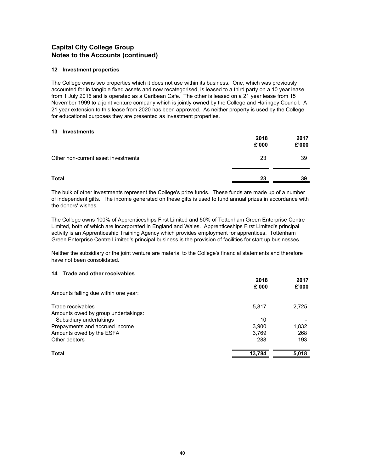#### **12 Investment properties**

The College owns two properties which it does not use within its business. One, which was previously accounted for in tangible fixed assets and now recategorised, is leased to a third party on a 10 year lease from 1 July 2016 and is operated as a Caribean Cafe. The other is leased on a 21 year lease from 15 November 1999 to a joint venture company which is jointly owned by the College and Haringey Council. A 21 year extension to this lease from 2020 has been approved. As neither property is used by the College for educational purposes they are presented as investment properties.

#### **13 Investments**

|                                     | 2018<br>£'000 | 2017<br>£'000 |
|-------------------------------------|---------------|---------------|
| Other non-current asset investments | 23            | 39            |
| <b>Total</b>                        | 23            | 39            |

The bulk of other investments represent the College's prize funds. These funds are made up of a number of independent gifts. The income generated on these gifts is used to fund annual prizes in accordance with the donors' wishes.

The College owns 100% of Apprenticeships First Limited and 50% of Tottenham Green Enterprise Centre Limited, both of which are incorporated in England and Wales. Apprenticeships First Limited's principal activity is an Apprenticeship Training Agency which provides employment for apprentices. Tottenham Green Enterprise Centre Limited's principal business is the provision of facilities for start up businesses.

Neither the subsidiary or the joint venture are material to the College's financial statements and therefore have not been consolidated.

#### **14 Trade and other receivables**

|                                      | 2018<br>£'000 | 2017<br>£'000 |
|--------------------------------------|---------------|---------------|
| Amounts falling due within one year: |               |               |
| Trade receivables                    | 5,817         | 2,725         |
| Amounts owed by group undertakings:  |               |               |
| Subsidiary undertakings              | 10            |               |
| Prepayments and accrued income       | 3,900         | 1,832         |
| Amounts owed by the ESFA             | 3,769         | 268           |
| Other debtors                        | 288           | 193           |
| Total                                | 13,784        | 5,018         |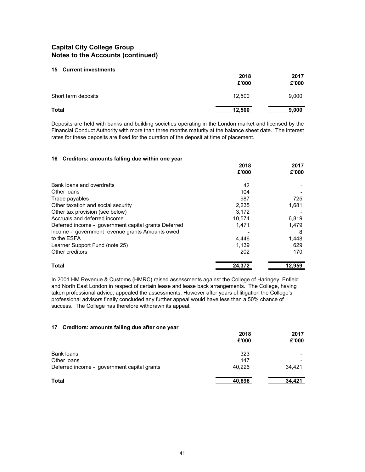#### **15 Current investments**

|                     | 2018<br>£'000 | 2017<br>£'000 |
|---------------------|---------------|---------------|
| Short term deposits | 12,500        | 9,000         |
| <b>Total</b>        | 12,500        | 9,000         |

Deposits are held with banks and building societies operating in the London market and licensed by the Financial Conduct Authority with more than three months maturity at the balance sheet date. The interest rates for these deposits are fixed for the duration of the deposit at time of placement.

#### **16 Creditors: amounts falling due within one year**

|                                                      | 2018   | 2017   |
|------------------------------------------------------|--------|--------|
|                                                      | £'000  | £'000  |
| Bank loans and overdrafts                            | 42     |        |
| Other loans                                          | 104    |        |
| Trade payables                                       | 987    | 725    |
| Other taxation and social security                   | 2,235  | 1,681  |
| Other tax provision (see below)                      | 3.172  |        |
| Accruals and deferred income                         | 10.574 | 6.819  |
| Deferred income - government capital grants Deferred | 1.471  | 1.479  |
| income - government revenue grants Amounts owed      |        | 8      |
| to the ESFA                                          | 4.446  | 1,448  |
| Learner Support Fund (note 25)                       | 1,139  | 629    |
| Other creditors                                      | 202    | 170    |
| <b>Total</b>                                         | 24.372 | 12.959 |

In 2001 HM Revenue & Customs (HMRC) raised assessments against the College of Haringey, Enfield and North East London in respect of certain lease and lease back arrangements. The College, having taken professional advice, appealed the assessments. However after years of litigation the College's professional advisors finally concluded any further appeal would have less than a 50% chance of success. The College has therefore withdrawn its appeal.

#### **17 Creditors: amounts falling due after one year**

|                                             | 2018   | 2017   |
|---------------------------------------------|--------|--------|
|                                             | £'000  | £'000  |
| Bank loans                                  | 323    |        |
| Other loans                                 | 147    |        |
| Deferred income - government capital grants | 40,226 | 34.421 |
| <b>Total</b>                                | 40,696 | 34,421 |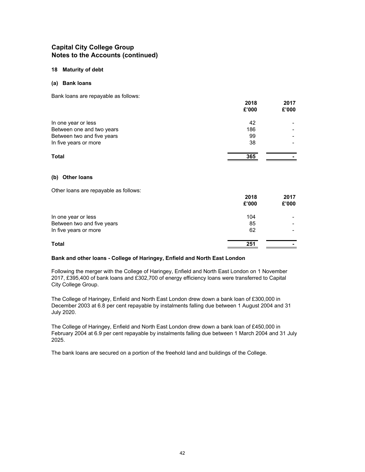#### **18 Maturity of debt**

#### **(a) Bank loans**

Bank loans are repayable as follows:

|                            | 2018<br>£'000 | 2017<br>£'000 |
|----------------------------|---------------|---------------|
| In one year or less        | 42            |               |
| Between one and two years  | 186           |               |
| Between two and five years | 99            |               |
| In five years or more      | 38            |               |
| <b>Total</b>               | 365           |               |

#### **(b) Other loans**

Other loans are repayable as follows:

|                            | 2018<br>£'000 | 2017<br>£'000            |
|----------------------------|---------------|--------------------------|
| In one year or less        | 104           |                          |
| Between two and five years | 85            | $\overline{\phantom{0}}$ |
| In five years or more      | 62            |                          |
| <b>Total</b>               | 251           | -                        |

#### **Bank and other loans - College of Haringey, Enfield and North East London**

Following the merger with the College of Haringey, Enfield and North East London on 1 November 2017, £395,400 of bank loans and £302,700 of energy efficiency loans were transferred to Capital City College Group.

The College of Haringey, Enfield and North East London drew down a bank loan of £300,000 in December 2003 at 6.8 per cent repayable by instalments falling due between 1 August 2004 and 31 July 2020.

The College of Haringey, Enfield and North East London drew down a bank loan of £450,000 in February 2004 at 6.9 per cent repayable by instalments falling due between 1 March 2004 and 31 July 2025.

The bank loans are secured on a portion of the freehold land and buildings of the College.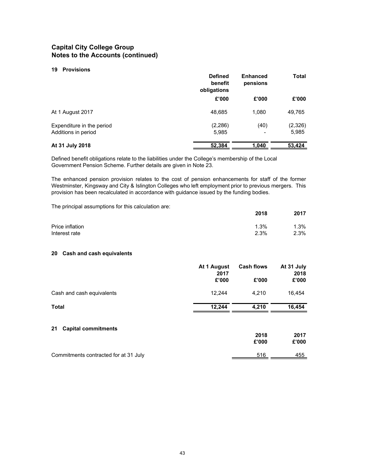#### **19 Provisions**

|                                                  | <b>Defined</b><br>benefit<br>obligations | <b>Enhanced</b><br>pensions      | Total            |
|--------------------------------------------------|------------------------------------------|----------------------------------|------------------|
|                                                  | £'000                                    | £'000                            | £'000            |
| At 1 August 2017                                 | 48,685                                   | 1.080                            | 49,765           |
| Expenditure in the period<br>Additions in period | (2, 286)<br>5,985                        | (40)<br>$\overline{\phantom{a}}$ | (2,326)<br>5,985 |
| At 31 July 2018                                  | 52,384                                   | 1,040                            | 53,424           |

Defined benefit obligations relate to the liabilities under the College's membership of the Local Government Pension Scheme. Further details are given in Note 23.

The enhanced pension provision relates to the cost of pension enhancements for staff of the former Westminster, Kingsway and City & Islington Colleges who left employment prior to previous mergers. This provision has been recalculated in accordance with guidance issued by the funding bodies.

The principal assumptions for this calculation are:

|                                  | 2018            | 2017            |
|----------------------------------|-----------------|-----------------|
| Price inflation<br>Interest rate | $1.3\%$<br>2.3% | $1.3\%$<br>2.3% |
|                                  |                 |                 |

#### **20 Cash and cash equivalents**

|                                       | At 1 August<br>2017 | <b>Cash flows</b> | At 31 July<br>2018 |
|---------------------------------------|---------------------|-------------------|--------------------|
|                                       | £'000               | £'000             | £'000              |
| Cash and cash equivalents             | 12,244              | 4,210             | 16,454             |
| <b>Total</b>                          | 12.244              | 4,210             | 16,454             |
| <b>Capital commitments</b><br>21      |                     |                   |                    |
|                                       |                     | 2018<br>£'000     | 2017<br>£'000      |
|                                       |                     |                   |                    |
| Commitments contracted for at 31 July |                     | 516               | 455                |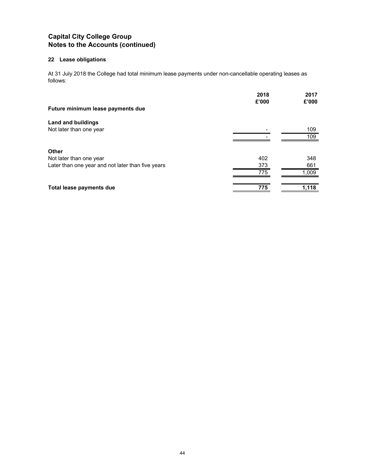# **22 Lease obligations**

At 31 July 2018 the College had total minimum lease payments under non-cancellable operating leases as follows:

|                                                   | 2018<br>£'000 | 2017<br>£'000 |
|---------------------------------------------------|---------------|---------------|
| Future minimum lease payments due                 |               |               |
| <b>Land and buildings</b>                         |               |               |
| Not later than one year                           |               | 109           |
|                                                   |               | 109           |
| <b>Other</b>                                      |               |               |
| Not later than one year                           | 402           | 348           |
| Later than one year and not later than five years | 373           | 661           |
|                                                   | 775           | 1,009         |
| Total lease payments due                          | 775           | 1,118         |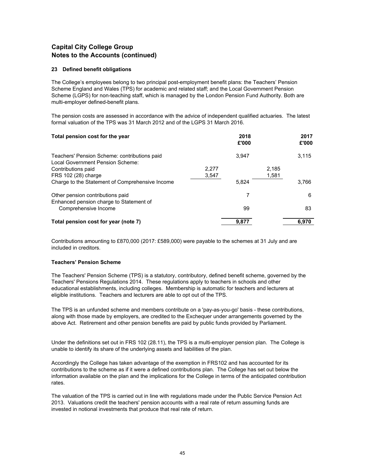#### **23 Defined benefit obligations**

The College's employees belong to two principal post-employment benefit plans: the Teachers' Pension Scheme England and Wales (TPS) for academic and related staff; and the Local Government Pension Scheme (LGPS) for non-teaching staff, which is managed by the London Pension Fund Authority. Both are multi-employer defined-benefit plans.

The pension costs are assessed in accordance with the advice of independent qualified actuaries. The latest formal valuation of the TPS was 31 March 2012 and of the LGPS 31 March 2016.

| Total pension cost for the year                                                  |       | 2018<br>£'000 |       | 2017<br>£'000 |
|----------------------------------------------------------------------------------|-------|---------------|-------|---------------|
| Teachers' Pension Scheme: contributions paid<br>Local Government Pension Scheme: |       | 3.947         |       | 3,115         |
| Contributions paid                                                               | 2,277 |               | 2,185 |               |
| FRS 102 (28) charge                                                              | 3,547 |               | 1,581 |               |
| Charge to the Statement of Comprehensive Income                                  |       | 5,824         |       | 3.766         |
| Other pension contributions paid<br>Enhanced pension charge to Statement of      |       | 7             |       | 6             |
| Comprehensive Income                                                             |       | 99            |       | 83            |
| Total pension cost for year (note 7)                                             |       | 9.877         |       | 6.970         |

Contributions amounting to £870,000 (2017: £589,000) were payable to the schemes at 31 July and are included in creditors.

### **Teachers' Pension Scheme**

The Teachers' Pension Scheme (TPS) is a statutory, contributory, defined benefit scheme, governed by the Teachers' Pensions Regulations 2014. These regulations apply to teachers in schools and other educational establishments, including colleges. Membership is automatic for teachers and lecturers at eligible institutions. Teachers and lecturers are able to opt out of the TPS.

The TPS is an unfunded scheme and members contribute on a 'pay-as-you-go' basis - these contributions, along with those made by employers, are credited to the Exchequer under arrangements governed by the above Act. Retirement and other pension benefits are paid by public funds provided by Parliament.

Under the definitions set out in FRS 102 (28.11), the TPS is a multi-employer pension plan. The College is unable to identify its share of the underlying assets and liabilities of the plan.

Accordingly the College has taken advantage of the exemption in FRS102 and has accounted for its contributions to the scheme as if it were a defined contributions plan. The College has set out below the information available on the plan and the implications for the College in terms of the anticipated contribution rates.

The valuation of the TPS is carried out in line with regulations made under the Public Service Pension Act 2013. Valuations credit the teachers' pension accounts with a real rate of return assuming funds are invested in notional investments that produce that real rate of return.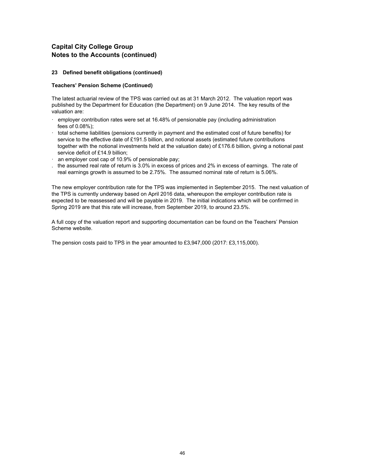#### **23 Defined benefit obligations (continued)**

#### **Teachers' Pension Scheme (Continued)**

The latest actuarial review of the TPS was carried out as at 31 March 2012. The valuation report was published by the Department for Education (the Department) on 9 June 2014. The key results of the valuation are:

- employer contribution rates were set at 16.48% of pensionable pay (including administration fees of 0.08%);
- · total scheme liabilities (pensions currently in payment and the estimated cost of future benefits) for service to the effective date of £191.5 billion, and notional assets (estimated future contributions together with the notional investments held at the valuation date) of £176.6 billion, giving a notional past service deficit of £14.9 billion;
- $\cdot$  an employer cost cap of 10.9% of pensionable pay;
- . the assumed real rate of return is 3.0% in excess of prices and 2% in excess of earnings. The rate of real earnings growth is assumed to be 2.75%. The assumed nominal rate of return is 5.06%.

The new employer contribution rate for the TPS was implemented in September 2015. The next valuation of the TPS is currently underway based on April 2016 data, whereupon the employer contribution rate is expected to be reassessed and will be payable in 2019. The initial indications which will be confirmed in Spring 2019 are that this rate will increase, from September 2019, to around 23.5%.

A full copy of the valuation report and supporting documentation can be found on the Teachers' Pension Scheme website.

The pension costs paid to TPS in the year amounted to £3,947,000 (2017: £3,115,000).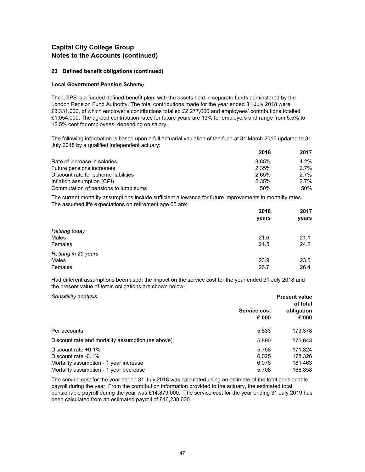#### **23 Defined benefit obligations (continued)**

#### **Local Government Pension Scheme**

The LGPS is a funded defined-benefit plan, with the assets held in separate funds adminstered by the London Pension Fund Authority. The total contributions made for the year ended 31 July 2018 were £3,331,000, of which employer's contributions totalled £2,277,000 and employees' contributions totalled £1,054,000. The agreed contribution rates for future years are 13% for employers and range from 5.5% to 12.5% cent for employees, depending on salary.

The following information is based upon a full actuarial valuation of the fund at 31 March 2016 updated to 31 July 2018 by a qualified independent actuary:

|                                      | 2018  | 2017    |
|--------------------------------------|-------|---------|
| Rate of increase in salaries         | 3.85% | $4.2\%$ |
| Future pensions increases            | 2.35% | $2.7\%$ |
| Discount rate for scheme liabilities | 2.65% | $2.7\%$ |
| Inflation assumption (CPI)           | 2.35% | 2.7%    |
| Commutation of pensions to lump sums | 50%   | 50%     |

The current mortality assumptions include sufficient allowance for future improvements in mortality rates. The assumed life expectations on retirement age 65 are:

|                       | 2018<br>years | 2017<br>years |
|-----------------------|---------------|---------------|
|                       |               |               |
| <b>Retiring today</b> |               |               |
| Males                 | 21.6          | 21.1          |
| Females               | 24.5          | 24.2          |
| Retiring in 20 years  |               |               |
| Males                 | 23.9          | 23.5          |
| Females               | 26.7          | 26.4          |

Had different assumptions been used, the impact on the service cost for the year ended 31 July 2018 and the present value of totals obligations are shown below:

| Sensitivity analysis                                                                                                              | <b>Service cost</b><br>£'000     | <b>Present value</b><br>of total<br>obligation<br>£'000 |
|-----------------------------------------------------------------------------------------------------------------------------------|----------------------------------|---------------------------------------------------------|
| Per accounts                                                                                                                      | 5.833                            | 173,378                                                 |
| Discount rate and mortality assumption (as above)                                                                                 | 5,890                            | 175,043                                                 |
| Discount rate $+0.1\%$<br>Discount rate -0.1%<br>Mortality assumption - 1 year increase<br>Mortality assumption - 1 year decrease | 5.758<br>6.025<br>6.078<br>5,708 | 171.824<br>178.326<br>181,463<br>168,858                |

The service cost for the year ended 31 July 2018 was calculated using an estimate of the total pensionable payroll during the year. From the contribution information provided to the actuary, the estimated total pensionable payroll during the year was £14,879,000. The service cost for the year ending 31 July 2019 has been calculated from an estimated payroll of £16,238,000.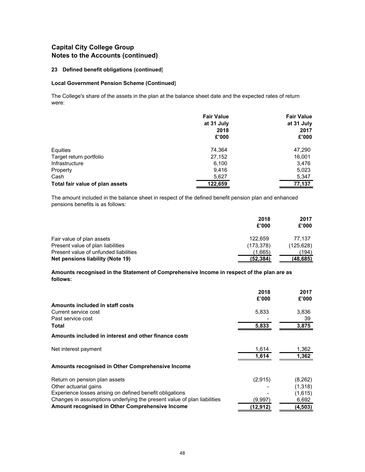#### **23 Defined benefit obligations (continued)**

#### **Local Government Pension Scheme (Continued)**

The College's share of the assets in the plan at the balance sheet date and the expected rates of return were:

|                                 | <b>Fair Value</b> | <b>Fair Value</b> |
|---------------------------------|-------------------|-------------------|
|                                 | at 31 July        | at 31 July        |
|                                 | 2018              | 2017              |
|                                 | £'000             | £'000             |
| Equities                        | 74,364            | 47,290            |
| Target return portfolio         | 27,152            | 16,001            |
| Infrastructure                  | 6,100             | 3,476             |
| Property                        | 9.416             | 5,023             |
| Cash                            | 5,627             | 5,347             |
| Total fair value of plan assets | 122,659           | 77,137            |

The amount included in the balance sheet in respect of the defined benefit pension plan and enhanced pensions benefits is as follows:

|                                       | 2018<br>£'000 | 2017<br>£'000 |
|---------------------------------------|---------------|---------------|
| Fair value of plan assets             | 122.659       | 77.137        |
| Present value of plan liabilities     | (173, 378)    | (125, 628)    |
| Present value of unfunded liabilities | (1,665)       | (194)         |
| Net pensions liability (Note 19)      | (52,384)      | (48, 685)     |

**Amounts recognised in the Statement of Comprehensive Income in respect of the plan are as follows:**

|                                                                         | 2018     | 2017     |
|-------------------------------------------------------------------------|----------|----------|
|                                                                         | £'000    | £'000    |
| Amounts included in staff costs                                         |          |          |
| Current service cost                                                    | 5,833    | 3,836    |
| Past service cost                                                       |          | 39       |
| Total                                                                   | 5,833    | 3,875    |
| Amounts included in interest and other finance costs                    |          |          |
| Net interest payment                                                    | 1,614    | 1,362    |
|                                                                         | 1,614    | 1,362    |
| Amounts recognised in Other Comprehensive Income                        |          |          |
| Return on pension plan assets                                           | (2,915)  | (8,262)  |
| Other actuarial gains                                                   |          | (1,318)  |
| Experience losses arising on defined benefit obligations                |          | (1,615)  |
| Changes in assumptions underlying the present value of plan liabilities | (9,997)  | 6,692    |
| Amount recognised in Other Comprehensive Income                         | (12,912) | (4, 503) |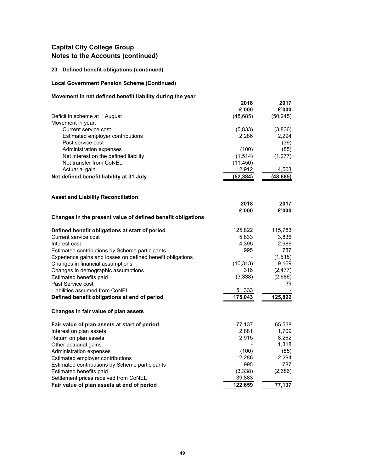# **23 Defined benefit obligations (continued)**

# **Local Government Pension Scheme (Continued)**

# **Movement in net defined benefit liability during the year**

|                                                             | 2018      | 2017      |
|-------------------------------------------------------------|-----------|-----------|
|                                                             | £'000     | £'000     |
| Deficit in scheme at 1 August                               | (48, 685) | (50, 245) |
| Movement in year:                                           |           |           |
| Current service cost                                        | (5,833)   | (3,836)   |
| Estimated employer contributions                            | 2,286     | 2,294     |
| Past service cost                                           |           | (39)      |
| Administration expenses                                     | (100)     | (85)      |
| Net interest on the defined liability                       | (1, 514)  | (1, 277)  |
| Net transfer from CoNEL                                     | (11, 450) |           |
| Actuarial gain                                              | 12,912    | 4,503     |
| Net defined benefit liability at 31 July                    | (52, 384) | (48, 685) |
|                                                             |           |           |
| <b>Asset and Liability Reconciliation</b>                   | 2018      | 2017      |
|                                                             | £'000     | £'000     |
| Changes in the present value of defined benefit obligations |           |           |
|                                                             |           |           |
| Defined benefit obligations at start of period              | 125,822   | 115,783   |
| Current service cost                                        | 5,833     | 3,836     |
| Interest cost                                               | 4,395     | 2,986     |
| Estimated contributions by Scheme participants              | 995       | 787       |
| Experience gains and losses on defined benefit obligations  |           | (1,615)   |
| Changes in financial assumptions                            | (10, 313) | 9,169     |
| Changes in demographic assumptions                          | 316       | (2, 477)  |
| Estimated benefits paid                                     | (3, 338)  | (2,686)   |
| Past Service cost                                           |           | 39        |
| Liabilities assumed from CoNEL                              | 51,333    |           |
| Defined benefit obligations at end of period                | 175,043   | 125,822   |
| Changes in fair value of plan assets                        |           |           |
| Fair value of plan assets at start of period                | 77,137    | 65,538    |
| Interest on plan assets                                     | 2,881     | 1,709     |
| Return on plan assets                                       | 2,915     | 8,262     |
| Other actuarial gains                                       |           | 1,318     |
| Administration expenses                                     | (100)     | (85)      |
| Estimated employer contributions                            | 2,286     | 2,294     |
| Estimated contributions by Scheme participants              | 995       | 787       |
| Estimated benefits paid                                     | (3,338)   | (2,686)   |
| Settlement prices received from CoNEL                       | 39,883    |           |
| Fair value of plan assets at end of period                  | 122,659   | 77,137    |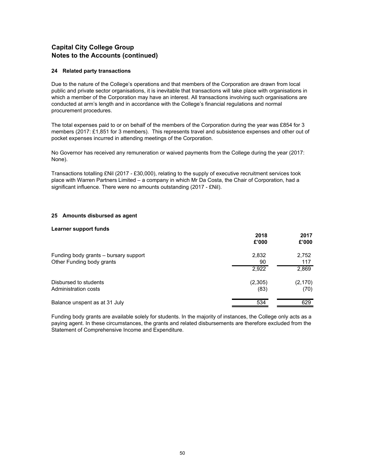#### **24 Related party transactions**

Due to the nature of the College's operations and that members of the Corporation are drawn from local public and private sector organisations, it is inevitable that transactions will take place with organisations in which a member of the Corporation may have an interest. All transactions involving such organisations are conducted at arm's length and in accordance with the College's financial regulations and normal procurement procedures.

The total expenses paid to or on behalf of the members of the Corporation during the year was £854 for 3 members (2017: £1,851 for 3 members). This represents travel and subsistence expenses and other out of pocket expenses incurred in attending meetings of the Corporation.

No Governor has received any remuneration or waived payments from the College during the year (2017: None).

Transactions totalling £Nil (2017 - £30,000), relating to the supply of executive recruitment services took place with Warren Partners Limited – a company in which Mr Da Costa, the Chair of Corporation, had a significant influence. There were no amounts outstanding (2017 - £Nil).

#### **25 Amounts disbursed as agent**

#### **Learner support funds**

|                                                                    | 2018<br>£'000   | 2017<br>£'000    |
|--------------------------------------------------------------------|-----------------|------------------|
| Funding body grants - bursary support<br>Other Funding body grants | 2,832<br>90     | 2,752<br>117     |
|                                                                    | 2,922           | 2,869            |
| Disbursed to students<br>Administration costs                      | (2,305)<br>(83) | (2, 170)<br>(70) |
| Balance unspent as at 31 July                                      | 534             | 629              |

Funding body grants are available solely for students. In the majority of instances, the College only acts as a paying agent. In these circumstances, the grants and related disbursements are therefore excluded from the Statement of Comprehensive Income and Expenditure.